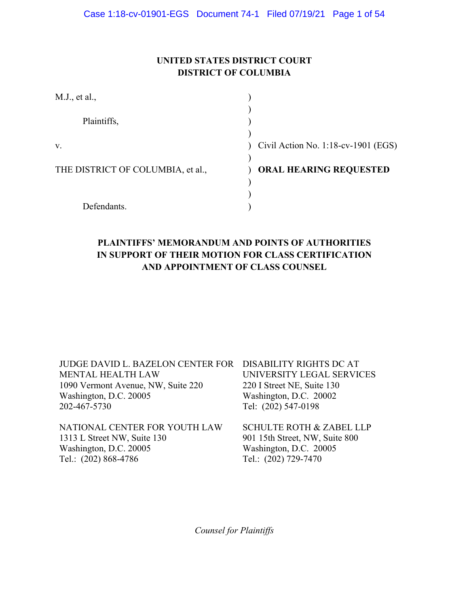## **UNITED STATES DISTRICT COURT DISTRICT OF COLUMBIA**

| M.J., et al.,                     |                                     |
|-----------------------------------|-------------------------------------|
|                                   |                                     |
| Plaintiffs,                       |                                     |
|                                   |                                     |
| V.                                | Civil Action No. 1:18-cv-1901 (EGS) |
|                                   |                                     |
| THE DISTRICT OF COLUMBIA, et al., | <b>ORAL HEARING REQUESTED</b>       |
|                                   |                                     |
|                                   |                                     |
| Defendants.                       |                                     |

## **PLAINTIFFS' MEMORANDUM AND POINTS OF AUTHORITIES IN SUPPORT OF THEIR MOTION FOR CLASS CERTIFICATION AND APPOINTMENT OF CLASS COUNSEL**

| JUDGE DAVID L. BAZELON CENTER FOR DISABILITY RIGHTS DC AT<br><b>MENTAL HEALTH LAW</b> | UNIVERSITY LEGAL SERVICES           |
|---------------------------------------------------------------------------------------|-------------------------------------|
| 1090 Vermont Avenue, NW, Suite 220                                                    | 220 I Street NE, Suite 130          |
| Washington, D.C. 20005                                                                | Washington, D.C. 20002              |
| 202-467-5730                                                                          | Tel: (202) 547-0198                 |
| NATIONAL CENTER FOR YOUTH LAW                                                         | <b>SCHULTE ROTH &amp; ZABEL LLP</b> |
| 1313 L Street NW, Suite 130                                                           | 901 15th Street, NW, Suite 800      |
| Washington, D.C. 20005                                                                | Washington, D.C. 20005              |
| Tel.: (202) 868-4786                                                                  | Tel.: (202) 729-7470                |

*Counsel for Plaintiffs*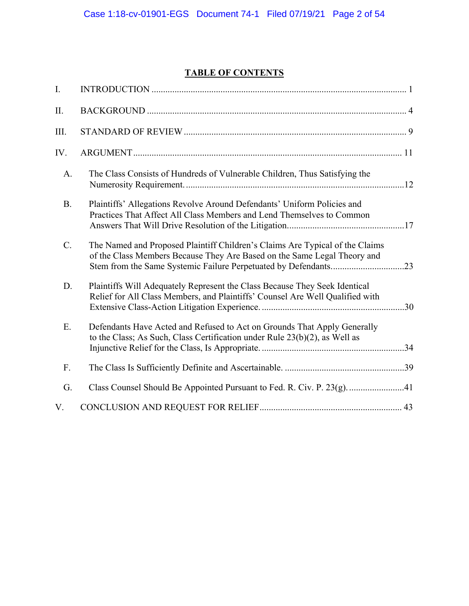# **TABLE OF CONTENTS**

| I.        |                                                                                                                                                                                                                             |
|-----------|-----------------------------------------------------------------------------------------------------------------------------------------------------------------------------------------------------------------------------|
| Π.        |                                                                                                                                                                                                                             |
| III.      |                                                                                                                                                                                                                             |
| IV.       |                                                                                                                                                                                                                             |
| A.        | The Class Consists of Hundreds of Vulnerable Children, Thus Satisfying the                                                                                                                                                  |
| <b>B.</b> | Plaintiffs' Allegations Revolve Around Defendants' Uniform Policies and<br>Practices That Affect All Class Members and Lend Themselves to Common                                                                            |
| $C$ .     | The Named and Proposed Plaintiff Children's Claims Are Typical of the Claims<br>of the Class Members Because They Are Based on the Same Legal Theory and<br>Stem from the Same Systemic Failure Perpetuated by Defendants23 |
| D.        | Plaintiffs Will Adequately Represent the Class Because They Seek Identical<br>Relief for All Class Members, and Plaintiffs' Counsel Are Well Qualified with                                                                 |
| Ε.        | Defendants Have Acted and Refused to Act on Grounds That Apply Generally<br>to the Class; As Such, Class Certification under Rule $23(b)(2)$ , as Well as                                                                   |
| F.        |                                                                                                                                                                                                                             |
| G.        | Class Counsel Should Be Appointed Pursuant to Fed. R. Civ. P. 23(g). 41                                                                                                                                                     |
| V.        |                                                                                                                                                                                                                             |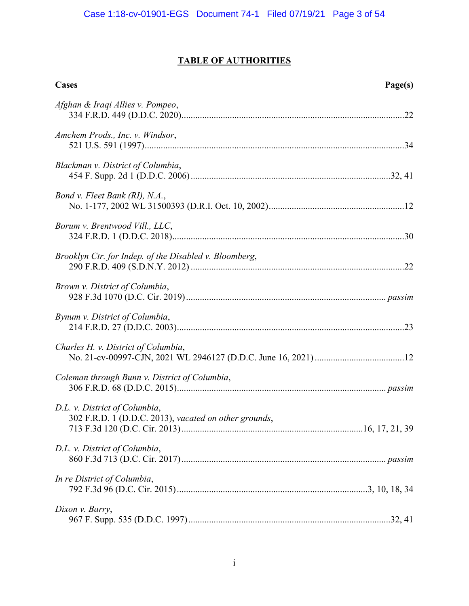## **TABLE OF AUTHORITIES**

| Cases                                                                                  | Page(s) |
|----------------------------------------------------------------------------------------|---------|
| Afghan & Iraqi Allies v. Pompeo,                                                       |         |
| Amchem Prods., Inc. v. Windsor,                                                        |         |
| Blackman v. District of Columbia,                                                      |         |
| Bond v. Fleet Bank (RI), N.A.,                                                         |         |
| Borum v. Brentwood Vill., LLC,                                                         |         |
| Brooklyn Ctr. for Indep. of the Disabled v. Bloomberg,                                 |         |
| Brown v. District of Columbia,                                                         |         |
| Bynum v. District of Columbia,                                                         |         |
| Charles H. v. District of Columbia,                                                    |         |
| Coleman through Bunn v. District of Columbia,                                          |         |
| D.L. v. District of Columbia,<br>302 F.R.D. 1 (D.D.C. 2013), vacated on other grounds, |         |
| D.L. v. District of Columbia,                                                          |         |
| In re District of Columbia,                                                            |         |
| Dixon v. Barry,                                                                        |         |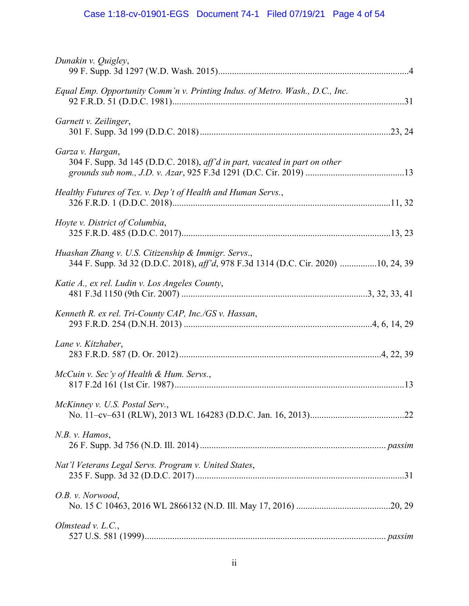# Case 1:18-cv-01901-EGS Document 74-1 Filed 07/19/21 Page 4 of 54

| Dunakin v. Quigley,                                                                                                                       |
|-------------------------------------------------------------------------------------------------------------------------------------------|
| Equal Emp. Opportunity Comm'n v. Printing Indus. of Metro. Wash., D.C., Inc.                                                              |
| Garnett v. Zeilinger,                                                                                                                     |
| Garza v. Hargan,<br>304 F. Supp. 3d 145 (D.D.C. 2018), aff'd in part, vacated in part on other                                            |
| Healthy Futures of Tex. v. Dep't of Health and Human Servs.,                                                                              |
| Hoyte v. District of Columbia,                                                                                                            |
| Huashan Zhang v. U.S. Citizenship & Immigr. Servs.,<br>344 F. Supp. 3d 32 (D.D.C. 2018), aff'd, 978 F.3d 1314 (D.C. Cir. 2020) 10, 24, 39 |
| Katie A., ex rel. Ludin v. Los Angeles County,                                                                                            |
| Kenneth R. ex rel. Tri-County CAP, Inc./GS v. Hassan,                                                                                     |
| Lane v. Kitzhaber,                                                                                                                        |
| McCuin v. Sec'y of Health & Hum. Servs.,                                                                                                  |
| McKinney v. U.S. Postal Serv.,                                                                                                            |
| $N.B.$ v. Hamos,                                                                                                                          |
| Nat'l Veterans Legal Servs. Program v. United States,                                                                                     |
| O.B. v. Norwood,                                                                                                                          |
| Olmstead $v.$ L.C.,                                                                                                                       |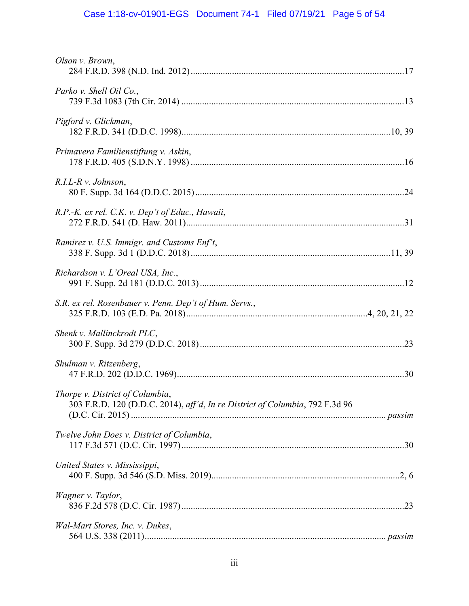# Case 1:18-cv-01901-EGS Document 74-1 Filed 07/19/21 Page 5 of 54

| Olson v. Brown,                                                                                                 |
|-----------------------------------------------------------------------------------------------------------------|
| Parko v. Shell Oil Co.,                                                                                         |
| Pigford v. Glickman,                                                                                            |
| Primavera Familienstiftung v. Askin,                                                                            |
| $R.I.L-R v. Johnson,$                                                                                           |
| R.P.-K. ex rel. C.K. v. Dep't of Educ., Hawaii,                                                                 |
| Ramirez v. U.S. Immigr. and Customs Enf't,                                                                      |
| Richardson v. L'Oreal USA, Inc.,                                                                                |
| S.R. ex rel. Rosenbauer v. Penn. Dep't of Hum. Servs.,                                                          |
| Shenk v. Mallinckrodt PLC,                                                                                      |
| Shulman v. Ritzenberg,                                                                                          |
| Thorpe v. District of Columbia,<br>303 F.R.D. 120 (D.D.C. 2014), aff'd, In re District of Columbia, 792 F.3d 96 |
| Twelve John Does v. District of Columbia,                                                                       |
| United States v. Mississippi,                                                                                   |
| Wagner v. Taylor,                                                                                               |
| Wal-Mart Stores, Inc. v. Dukes,                                                                                 |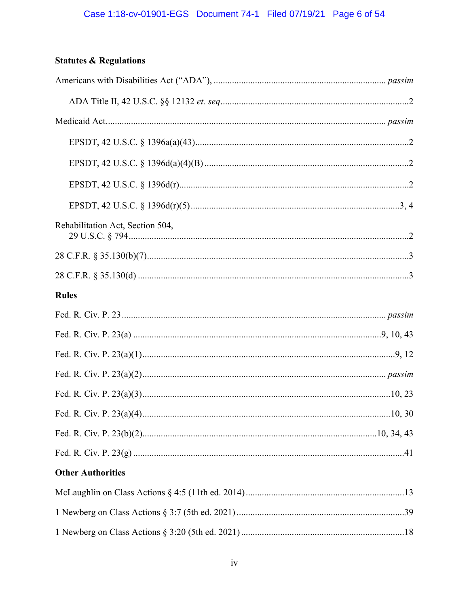## **Statutes & Regulations**

| Rehabilitation Act, Section 504, |  |
|----------------------------------|--|
|                                  |  |
|                                  |  |
| <b>Rules</b>                     |  |
|                                  |  |
|                                  |  |
|                                  |  |
|                                  |  |
|                                  |  |
|                                  |  |
|                                  |  |
|                                  |  |
| <b>Other Authorities</b>         |  |
|                                  |  |
|                                  |  |
|                                  |  |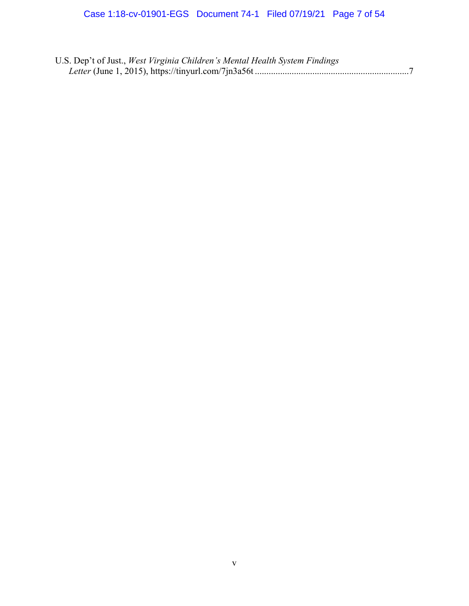| U.S. Dep't of Just., West Virginia Children's Mental Health System Findings |  |
|-----------------------------------------------------------------------------|--|
|                                                                             |  |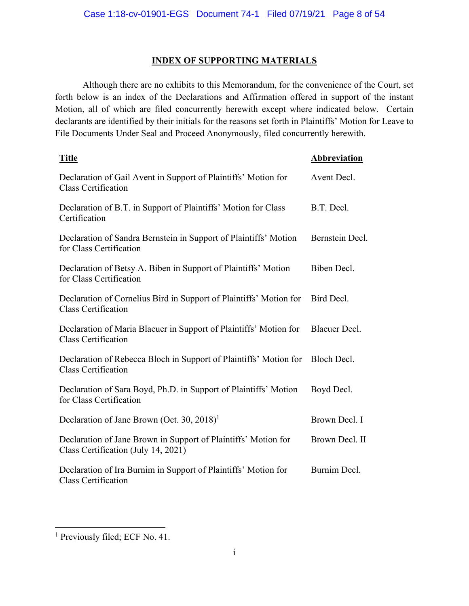## **INDEX OF SUPPORTING MATERIALS**

Although there are no exhibits to this Memorandum, for the convenience of the Court, set forth below is an index of the Declarations and Affirmation offered in support of the instant Motion, all of which are filed concurrently herewith except where indicated below. Certain declarants are identified by their initials for the reasons set forth in Plaintiffs' Motion for Leave to File Documents Under Seal and Proceed Anonymously, filed concurrently herewith.

| <b>Title</b>                                                                                          | Abbreviation    |
|-------------------------------------------------------------------------------------------------------|-----------------|
| Declaration of Gail Avent in Support of Plaintiffs' Motion for<br><b>Class Certification</b>          | Avent Decl.     |
| Declaration of B.T. in Support of Plaintiffs' Motion for Class<br>Certification                       | B.T. Decl.      |
| Declaration of Sandra Bernstein in Support of Plaintiffs' Motion<br>for Class Certification           | Bernstein Decl. |
| Declaration of Betsy A. Biben in Support of Plaintiffs' Motion<br>for Class Certification             | Biben Decl.     |
| Declaration of Cornelius Bird in Support of Plaintiffs' Motion for<br><b>Class Certification</b>      | Bird Decl.      |
| Declaration of Maria Blaeuer in Support of Plaintiffs' Motion for<br><b>Class Certification</b>       | Blaeuer Decl.   |
| Declaration of Rebecca Bloch in Support of Plaintiffs' Motion for<br><b>Class Certification</b>       | Bloch Decl.     |
| Declaration of Sara Boyd, Ph.D. in Support of Plaintiffs' Motion<br>for Class Certification           | Boyd Decl.      |
| Declaration of Jane Brown (Oct. 30, 2018) <sup>1</sup>                                                | Brown Decl. I   |
| Declaration of Jane Brown in Support of Plaintiffs' Motion for<br>Class Certification (July 14, 2021) | Brown Decl. II  |
| Declaration of Ira Burnim in Support of Plaintiffs' Motion for<br><b>Class Certification</b>          | Burnim Decl.    |

<sup>&</sup>lt;sup>1</sup> Previously filed; ECF No. 41.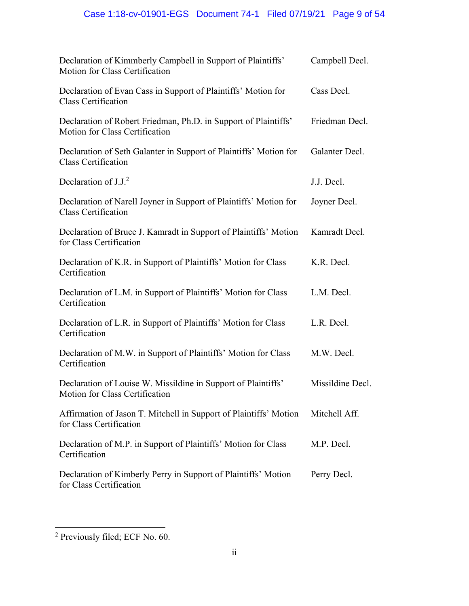# Case 1:18-cv-01901-EGS Document 74-1 Filed 07/19/21 Page 9 of 54

| Declaration of Kimmberly Campbell in Support of Plaintiffs'<br>Motion for Class Certification     | Campbell Decl.   |
|---------------------------------------------------------------------------------------------------|------------------|
| Declaration of Evan Cass in Support of Plaintiffs' Motion for<br><b>Class Certification</b>       | Cass Decl.       |
| Declaration of Robert Friedman, Ph.D. in Support of Plaintiffs'<br>Motion for Class Certification | Friedman Decl.   |
| Declaration of Seth Galanter in Support of Plaintiffs' Motion for<br><b>Class Certification</b>   | Galanter Decl.   |
| Declaration of $J.J.2$                                                                            | J.J. Decl.       |
| Declaration of Narell Joyner in Support of Plaintiffs' Motion for<br><b>Class Certification</b>   | Joyner Decl.     |
| Declaration of Bruce J. Kamradt in Support of Plaintiffs' Motion<br>for Class Certification       | Kamradt Decl.    |
| Declaration of K.R. in Support of Plaintiffs' Motion for Class<br>Certification                   | K.R. Decl.       |
| Declaration of L.M. in Support of Plaintiffs' Motion for Class<br>Certification                   | L.M. Decl.       |
| Declaration of L.R. in Support of Plaintiffs' Motion for Class<br>Certification                   | L.R. Decl.       |
| Declaration of M.W. in Support of Plaintiffs' Motion for Class<br>Certification                   | M.W. Decl.       |
| Declaration of Louise W. Missildine in Support of Plaintiffs'<br>Motion for Class Certification   | Missildine Decl. |
| Affirmation of Jason T. Mitchell in Support of Plaintiffs' Motion<br>for Class Certification      | Mitchell Aff.    |
| Declaration of M.P. in Support of Plaintiffs' Motion for Class<br>Certification                   | M.P. Decl.       |
| Declaration of Kimberly Perry in Support of Plaintiffs' Motion<br>for Class Certification         | Perry Decl.      |

1

<sup>&</sup>lt;sup>2</sup> Previously filed; ECF No. 60.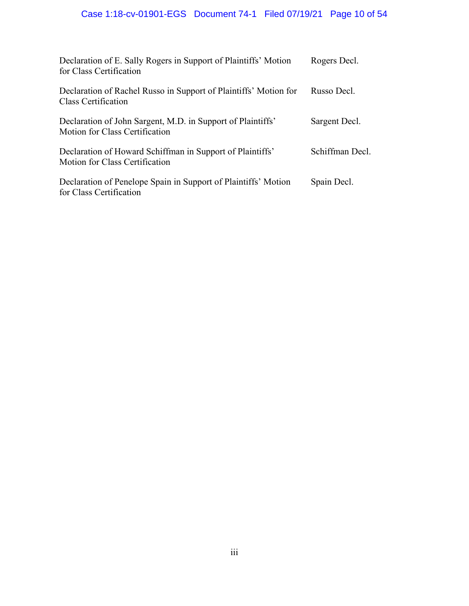# Case 1:18-cv-01901-EGS Document 74-1 Filed 07/19/21 Page 10 of 54

| Declaration of E. Sally Rogers in Support of Plaintiffs' Motion<br>for Class Certification    | Rogers Decl.    |
|-----------------------------------------------------------------------------------------------|-----------------|
| Declaration of Rachel Russo in Support of Plaintiffs' Motion for<br>Class Certification       | Russo Decl.     |
| Declaration of John Sargent, M.D. in Support of Plaintiffs'<br>Motion for Class Certification | Sargent Decl.   |
| Declaration of Howard Schiffman in Support of Plaintiffs'<br>Motion for Class Certification   | Schiffman Decl. |
| Declaration of Penelope Spain in Support of Plaintiffs' Motion<br>for Class Certification     | Spain Decl.     |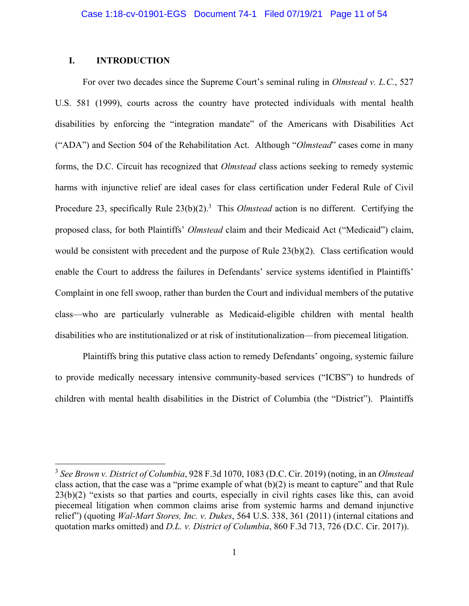## **I. INTRODUCTION**

 $\overline{a}$ 

 For over two decades since the Supreme Court's seminal ruling in *Olmstead v. L.C.*, 527 U.S. 581 (1999), courts across the country have protected individuals with mental health disabilities by enforcing the "integration mandate" of the Americans with Disabilities Act ("ADA") and Section 504 of the Rehabilitation Act. Although "*Olmstead*" cases come in many forms, the D.C. Circuit has recognized that *Olmstead* class actions seeking to remedy systemic harms with injunctive relief are ideal cases for class certification under Federal Rule of Civil Procedure 23, specifically Rule 23(b)(2).<sup>3</sup> This *Olmstead* action is no different. Certifying the proposed class, for both Plaintiffs' *Olmstead* claim and their Medicaid Act ("Medicaid") claim, would be consistent with precedent and the purpose of Rule 23(b)(2). Class certification would enable the Court to address the failures in Defendants' service systems identified in Plaintiffs' Complaint in one fell swoop, rather than burden the Court and individual members of the putative class—who are particularly vulnerable as Medicaid-eligible children with mental health disabilities who are institutionalized or at risk of institutionalization—from piecemeal litigation.

Plaintiffs bring this putative class action to remedy Defendants' ongoing, systemic failure to provide medically necessary intensive community-based services ("ICBS") to hundreds of children with mental health disabilities in the District of Columbia (the "District"). Plaintiffs

<sup>3</sup> *See Brown v. District of Columbia*, 928 F.3d 1070, 1083 (D.C. Cir. 2019) (noting, in an *Olmstead*  class action, that the case was a "prime example of what (b)(2) is meant to capture" and that Rule 23(b)(2) "exists so that parties and courts, especially in civil rights cases like this, can avoid piecemeal litigation when common claims arise from systemic harms and demand injunctive relief") (quoting *Wal-Mart Stores, Inc. v. Dukes*, 564 U.S. 338, 361 (2011) (internal citations and quotation marks omitted) and *D.L. v. District of Columbia*, 860 F.3d 713, 726 (D.C. Cir. 2017)).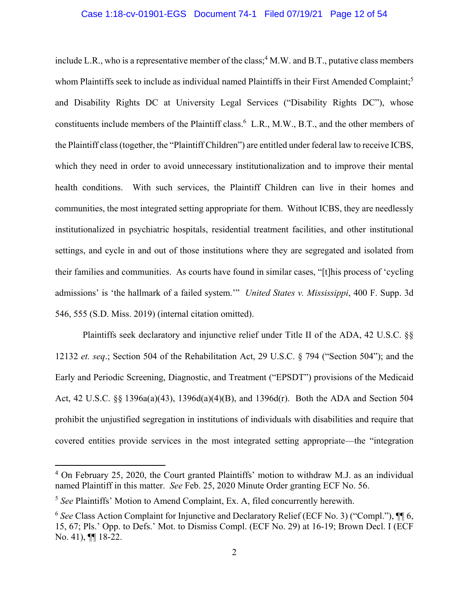#### Case 1:18-cv-01901-EGS Document 74-1 Filed 07/19/21 Page 12 of 54

include L.R., who is a representative member of the class;  $4$  M.W. and B.T., putative class members whom Plaintiffs seek to include as individual named Plaintiffs in their First Amended Complaint;<sup>5</sup> and Disability Rights DC at University Legal Services ("Disability Rights DC"), whose constituents include members of the Plaintiff class.<sup>6</sup> L.R., M.W., B.T., and the other members of the Plaintiff class (together, the "Plaintiff Children") are entitled under federal law to receive ICBS, which they need in order to avoid unnecessary institutionalization and to improve their mental health conditions. With such services, the Plaintiff Children can live in their homes and communities, the most integrated setting appropriate for them. Without ICBS, they are needlessly institutionalized in psychiatric hospitals, residential treatment facilities, and other institutional settings, and cycle in and out of those institutions where they are segregated and isolated from their families and communities. As courts have found in similar cases, "[t]his process of 'cycling admissions' is 'the hallmark of a failed system.'" *United States v. Mississippi*, 400 F. Supp. 3d 546, 555 (S.D. Miss. 2019) (internal citation omitted).

 Plaintiffs seek declaratory and injunctive relief under Title II of the ADA, 42 U.S.C. §§ 12132 *et. seq*.; Section 504 of the Rehabilitation Act, 29 U.S.C. § 794 ("Section 504"); and the Early and Periodic Screening, Diagnostic, and Treatment ("EPSDT") provisions of the Medicaid Act, 42 U.S.C. §§ 1396a(a)(43), 1396d(a)(4)(B), and 1396d(r). Both the ADA and Section 504 prohibit the unjustified segregation in institutions of individuals with disabilities and require that covered entities provide services in the most integrated setting appropriate—the "integration

<sup>&</sup>lt;sup>4</sup> On February 25, 2020, the Court granted Plaintiffs' motion to withdraw M.J. as an individual named Plaintiff in this matter. *See* Feb. 25, 2020 Minute Order granting ECF No. 56.

<sup>5</sup> *See* Plaintiffs' Motion to Amend Complaint, Ex. A, filed concurrently herewith.

<sup>6</sup> *See* Class Action Complaint for Injunctive and Declaratory Relief (ECF No. 3) ("Compl."), ¶¶ 6, 15, 67; Pls.' Opp. to Defs.' Mot. to Dismiss Compl. (ECF No. 29) at 16-19; Brown Decl. I (ECF No. 41), ¶¶ 18-22.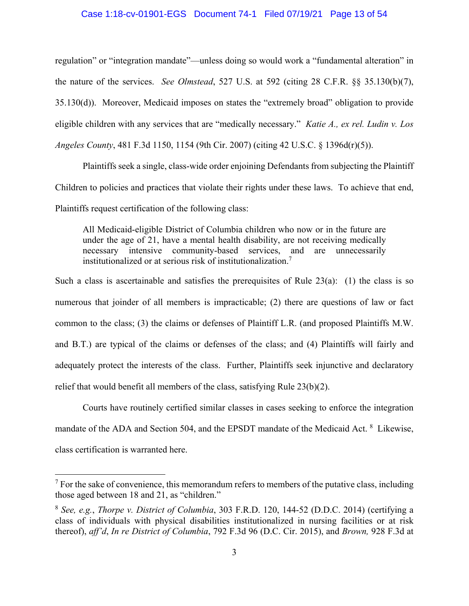#### Case 1:18-cv-01901-EGS Document 74-1 Filed 07/19/21 Page 13 of 54

regulation" or "integration mandate"—unless doing so would work a "fundamental alteration" in the nature of the services. *See Olmstead*, 527 U.S. at 592 (citing 28 C.F.R. §§ 35.130(b)(7), 35.130(d)). Moreover, Medicaid imposes on states the "extremely broad" obligation to provide eligible children with any services that are "medically necessary." *Katie A., ex rel. Ludin v. Los Angeles County*, 481 F.3d 1150, 1154 (9th Cir. 2007) (citing 42 U.S.C. § 1396d(r)(5)).

Plaintiffs seek a single, class-wide order enjoining Defendants from subjecting the Plaintiff Children to policies and practices that violate their rights under these laws. To achieve that end, Plaintiffs request certification of the following class:

All Medicaid-eligible District of Columbia children who now or in the future are under the age of 21, have a mental health disability, are not receiving medically necessary intensive community-based services, and are unnecessarily institutionalized or at serious risk of institutionalization.7

Such a class is ascertainable and satisfies the prerequisites of Rule  $23(a)$ : (1) the class is so numerous that joinder of all members is impracticable; (2) there are questions of law or fact common to the class; (3) the claims or defenses of Plaintiff L.R. (and proposed Plaintiffs M.W. and B.T.) are typical of the claims or defenses of the class; and (4) Plaintiffs will fairly and adequately protect the interests of the class. Further, Plaintiffs seek injunctive and declaratory relief that would benefit all members of the class, satisfying Rule 23(b)(2).

Courts have routinely certified similar classes in cases seeking to enforce the integration mandate of the ADA and Section 504, and the EPSDT mandate of the Medicaid Act. <sup>8</sup> Likewise, class certification is warranted here.

1

 $<sup>7</sup>$  For the sake of convenience, this memorandum refers to members of the putative class, including</sup> those aged between 18 and 21, as "children."

<sup>8</sup> *See, e.g.*, *Thorpe v. District of Columbia*, 303 F.R.D. 120, 144-52 (D.D.C. 2014) (certifying a class of individuals with physical disabilities institutionalized in nursing facilities or at risk thereof), *aff'd*, *In re District of Columbia*, 792 F.3d 96 (D.C. Cir. 2015), and *Brown,* 928 F.3d at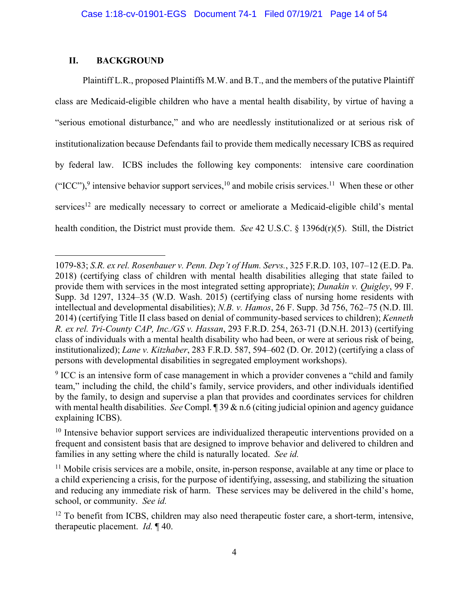## **II. BACKGROUND**

 $\overline{a}$ 

Plaintiff L.R., proposed Plaintiffs M.W. and B.T., and the members of the putative Plaintiff class are Medicaid-eligible children who have a mental health disability, by virtue of having a "serious emotional disturbance," and who are needlessly institutionalized or at serious risk of institutionalization because Defendants fail to provide them medically necessary ICBS as required by federal law. ICBS includes the following key components: intensive care coordination ("ICC"),<sup>9</sup> intensive behavior support services,<sup>10</sup> and mobile crisis services.<sup>11</sup> When these or other services<sup>12</sup> are medically necessary to correct or ameliorate a Medicaid-eligible child's mental health condition, the District must provide them. *See* 42 U.S.C. § 1396d(r)(5). Still, the District

<sup>1079-83;</sup> *S.R. ex rel. Rosenbauer v. Penn. Dep't of Hum. Servs.*, 325 F.R.D. 103, 107–12 (E.D. Pa. 2018) (certifying class of children with mental health disabilities alleging that state failed to provide them with services in the most integrated setting appropriate); *Dunakin v. Quigley*, 99 F. Supp. 3d 1297, 1324–35 (W.D. Wash. 2015) (certifying class of nursing home residents with intellectual and developmental disabilities); *N.B. v. Hamos*, 26 F. Supp. 3d 756, 762–75 (N.D. Ill. 2014) (certifying Title II class based on denial of community-based services to children); *Kenneth R. ex rel. Tri-County CAP, Inc./GS v. Hassan*, 293 F.R.D. 254, 263-71 (D.N.H. 2013) (certifying class of individuals with a mental health disability who had been, or were at serious risk of being, institutionalized); *Lane v. Kitzhaber*, 283 F.R.D. 587, 594–602 (D. Or. 2012) (certifying a class of persons with developmental disabilities in segregated employment workshops).

 $9$  ICC is an intensive form of case management in which a provider convenes a "child and family team," including the child, the child's family, service providers, and other individuals identified by the family, to design and supervise a plan that provides and coordinates services for children with mental health disabilities. *See* Compl. 1 39 & n.6 (citing judicial opinion and agency guidance explaining ICBS).

 $10$  Intensive behavior support services are individualized therapeutic interventions provided on a frequent and consistent basis that are designed to improve behavior and delivered to children and families in any setting where the child is naturally located. *See id.* 

 $11$  Mobile crisis services are a mobile, onsite, in-person response, available at any time or place to a child experiencing a crisis, for the purpose of identifying, assessing, and stabilizing the situation and reducing any immediate risk of harm. These services may be delivered in the child's home, school, or community. *See id.*

<sup>&</sup>lt;sup>12</sup> To benefit from ICBS, children may also need therapeutic foster care, a short-term, intensive, therapeutic placement. *Id.* ¶ 40.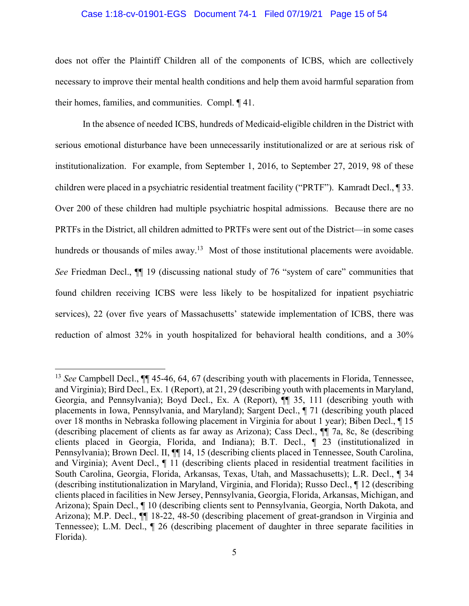#### Case 1:18-cv-01901-EGS Document 74-1 Filed 07/19/21 Page 15 of 54

does not offer the Plaintiff Children all of the components of ICBS, which are collectively necessary to improve their mental health conditions and help them avoid harmful separation from their homes, families, and communities. Compl. ¶ 41.

In the absence of needed ICBS, hundreds of Medicaid-eligible children in the District with serious emotional disturbance have been unnecessarily institutionalized or are at serious risk of institutionalization. For example, from September 1, 2016, to September 27, 2019, 98 of these children were placed in a psychiatric residential treatment facility ("PRTF"). Kamradt Decl., ¶ 33. Over 200 of these children had multiple psychiatric hospital admissions. Because there are no PRTFs in the District, all children admitted to PRTFs were sent out of the District—in some cases hundreds or thousands of miles away.<sup>13</sup> Most of those institutional placements were avoidable. *See* Friedman Decl.,  $\P$  19 (discussing national study of 76 "system of care" communities that found children receiving ICBS were less likely to be hospitalized for inpatient psychiatric services), 22 (over five years of Massachusetts' statewide implementation of ICBS, there was reduction of almost 32% in youth hospitalized for behavioral health conditions, and a 30%

<sup>&</sup>lt;sup>13</sup> *See* Campbell Decl.,  $\P$  45-46, 64, 67 (describing youth with placements in Florida, Tennessee, and Virginia); Bird Decl., Ex. 1 (Report), at 21, 29 (describing youth with placements in Maryland, Georgia, and Pennsylvania); Boyd Decl., Ex. A (Report), ¶¶ 35, 111 (describing youth with placements in Iowa, Pennsylvania, and Maryland); Sargent Decl., ¶ 71 (describing youth placed over 18 months in Nebraska following placement in Virginia for about 1 year); Biben Decl., ¶ 15 (describing placement of clients as far away as Arizona); Cass Decl., ¶¶ 7a, 8c, 8e (describing clients placed in Georgia, Florida, and Indiana); B.T. Decl., ¶ 23 (institutionalized in Pennsylvania); Brown Decl. II,  $\P$  14, 15 (describing clients placed in Tennessee, South Carolina, and Virginia); Avent Decl., ¶ 11 (describing clients placed in residential treatment facilities in South Carolina, Georgia, Florida, Arkansas, Texas, Utah, and Massachusetts); L.R. Decl., ¶ 34 (describing institutionalization in Maryland, Virginia, and Florida); Russo Decl., ¶ 12 (describing clients placed in facilities in New Jersey, Pennsylvania, Georgia, Florida, Arkansas, Michigan, and Arizona); Spain Decl., ¶ 10 (describing clients sent to Pennsylvania, Georgia, North Dakota, and Arizona); M.P. Decl., ¶¶ 18-22, 48-50 (describing placement of great-grandson in Virginia and Tennessee); L.M. Decl., ¶ 26 (describing placement of daughter in three separate facilities in Florida).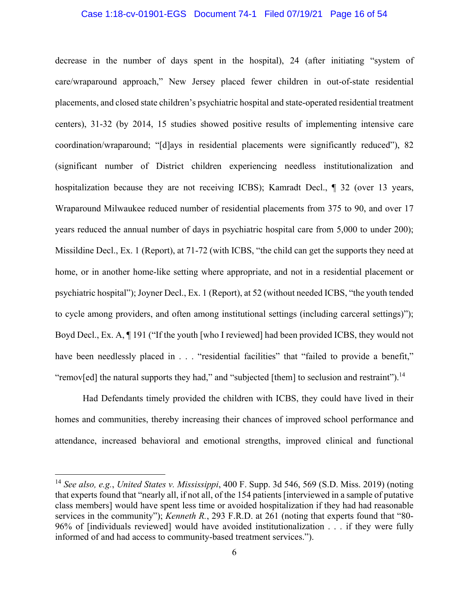#### Case 1:18-cv-01901-EGS Document 74-1 Filed 07/19/21 Page 16 of 54

decrease in the number of days spent in the hospital), 24 (after initiating "system of care/wraparound approach," New Jersey placed fewer children in out-of-state residential placements, and closed state children's psychiatric hospital and state-operated residential treatment centers), 31-32 (by 2014, 15 studies showed positive results of implementing intensive care coordination/wraparound; "[d]ays in residential placements were significantly reduced"), 82 (significant number of District children experiencing needless institutionalization and hospitalization because they are not receiving ICBS); Kamradt Decl., ¶ 32 (over 13 years, Wraparound Milwaukee reduced number of residential placements from 375 to 90, and over 17 years reduced the annual number of days in psychiatric hospital care from 5,000 to under 200); Missildine Decl., Ex. 1 (Report), at 71-72 (with ICBS, "the child can get the supports they need at home, or in another home-like setting where appropriate, and not in a residential placement or psychiatric hospital"); Joyner Decl., Ex. 1 (Report), at 52 (without needed ICBS, "the youth tended to cycle among providers, and often among institutional settings (including carceral settings)"); Boyd Decl., Ex. A, ¶ 191 ("If the youth [who I reviewed] had been provided ICBS, they would not have been needlessly placed in . . . "residential facilities" that "failed to provide a benefit," "remov[ed] the natural supports they had," and "subjected [them] to seclusion and restraint").<sup>14</sup>

Had Defendants timely provided the children with ICBS, they could have lived in their homes and communities, thereby increasing their chances of improved school performance and attendance, increased behavioral and emotional strengths, improved clinical and functional

1

<sup>14</sup> *See also, e.g.*, *United States v. Mississippi*, 400 F. Supp. 3d 546, 569 (S.D. Miss. 2019) (noting that experts found that "nearly all, if not all, of the 154 patients [interviewed in a sample of putative class members] would have spent less time or avoided hospitalization if they had had reasonable services in the community"); *Kenneth R.*, 293 F.R.D. at 261 (noting that experts found that "80- 96% of [individuals reviewed] would have avoided institutionalization . . . if they were fully informed of and had access to community-based treatment services.").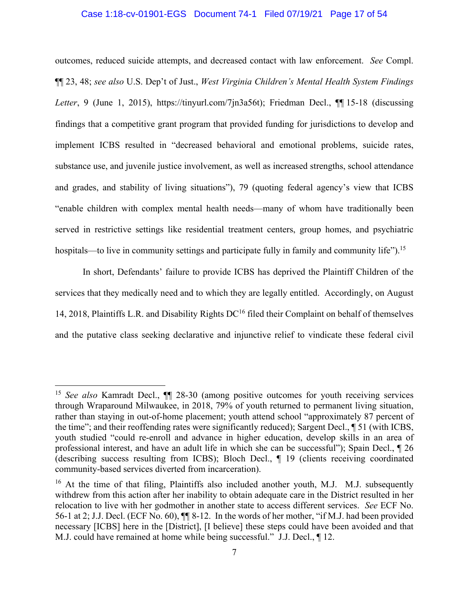#### Case 1:18-cv-01901-EGS Document 74-1 Filed 07/19/21 Page 17 of 54

outcomes, reduced suicide attempts, and decreased contact with law enforcement. *See* Compl. ¶¶ 23, 48; *see also* U.S. Dep't of Just., *West Virginia Children's Mental Health System Findings Letter*, 9 (June 1, 2015), https://tinyurl.com/7jn3a56t); Friedman Decl., ¶¶ 15-18 (discussing findings that a competitive grant program that provided funding for jurisdictions to develop and implement ICBS resulted in "decreased behavioral and emotional problems, suicide rates, substance use, and juvenile justice involvement, as well as increased strengths, school attendance and grades, and stability of living situations"), 79 (quoting federal agency's view that ICBS "enable children with complex mental health needs—many of whom have traditionally been served in restrictive settings like residential treatment centers, group homes, and psychiatric hospitals—to live in community settings and participate fully in family and community life").<sup>15</sup>

In short, Defendants' failure to provide ICBS has deprived the Plaintiff Children of the services that they medically need and to which they are legally entitled. Accordingly, on August 14, 2018, Plaintiffs L.R. and Disability Rights  $DC^{16}$  filed their Complaint on behalf of themselves and the putative class seeking declarative and injunctive relief to vindicate these federal civil

<sup>&</sup>lt;sup>15</sup> See also Kamradt Decl.,  $\P$  28-30 (among positive outcomes for youth receiving services through Wraparound Milwaukee, in 2018, 79% of youth returned to permanent living situation, rather than staying in out-of-home placement; youth attend school "approximately 87 percent of the time"; and their reoffending rates were significantly reduced); Sargent Decl., ¶ 51 (with ICBS, youth studied "could re-enroll and advance in higher education, develop skills in an area of professional interest, and have an adult life in which she can be successful"); Spain Decl., ¶ 26 (describing success resulting from ICBS); Bloch Decl., ¶ 19 (clients receiving coordinated community-based services diverted from incarceration).

<sup>&</sup>lt;sup>16</sup> At the time of that filing, Plaintiffs also included another youth, M.J. M.J. subsequently withdrew from this action after her inability to obtain adequate care in the District resulted in her relocation to live with her godmother in another state to access different services. *See* ECF No. 56-1 at 2; J.J. Decl. (ECF No. 60), ¶¶ 8-12. In the words of her mother, "if M.J. had been provided necessary [ICBS] here in the [District], [I believe] these steps could have been avoided and that M.J. could have remained at home while being successful." J.J. Decl., ¶ 12.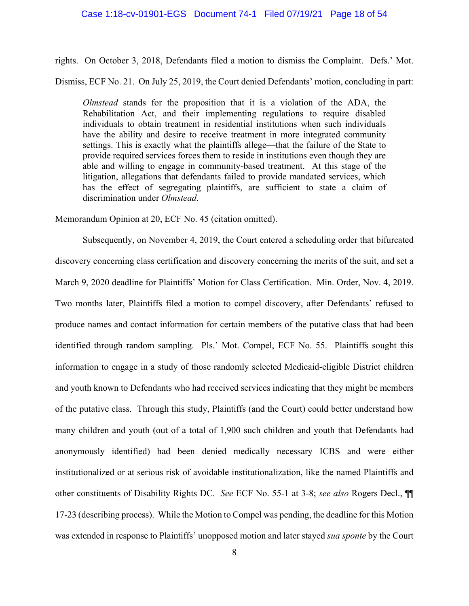#### Case 1:18-cv-01901-EGS Document 74-1 Filed 07/19/21 Page 18 of 54

rights. On October 3, 2018, Defendants filed a motion to dismiss the Complaint. Defs.' Mot.

Dismiss, ECF No. 21. On July 25, 2019, the Court denied Defendants' motion, concluding in part:

*Olmstead* stands for the proposition that it is a violation of the ADA, the Rehabilitation Act, and their implementing regulations to require disabled individuals to obtain treatment in residential institutions when such individuals have the ability and desire to receive treatment in more integrated community settings. This is exactly what the plaintiffs allege—that the failure of the State to provide required services forces them to reside in institutions even though they are able and willing to engage in community-based treatment. At this stage of the litigation, allegations that defendants failed to provide mandated services, which has the effect of segregating plaintiffs, are sufficient to state a claim of discrimination under *Olmstead*.

Memorandum Opinion at 20, ECF No. 45 (citation omitted).

Subsequently, on November 4, 2019, the Court entered a scheduling order that bifurcated discovery concerning class certification and discovery concerning the merits of the suit, and set a March 9, 2020 deadline for Plaintiffs' Motion for Class Certification. Min. Order, Nov. 4, 2019. Two months later, Plaintiffs filed a motion to compel discovery, after Defendants' refused to produce names and contact information for certain members of the putative class that had been identified through random sampling. Pls.' Mot. Compel, ECF No. 55. Plaintiffs sought this information to engage in a study of those randomly selected Medicaid-eligible District children and youth known to Defendants who had received services indicating that they might be members of the putative class. Through this study, Plaintiffs (and the Court) could better understand how many children and youth (out of a total of 1,900 such children and youth that Defendants had anonymously identified) had been denied medically necessary ICBS and were either institutionalized or at serious risk of avoidable institutionalization, like the named Plaintiffs and other constituents of Disability Rights DC. *See* ECF No. 55-1 at 3-8; *see also* Rogers Decl., ¶¶ 17-23 (describing process). While the Motion to Compel was pending, the deadline for this Motion was extended in response to Plaintiffs' unopposed motion and later stayed *sua sponte* by the Court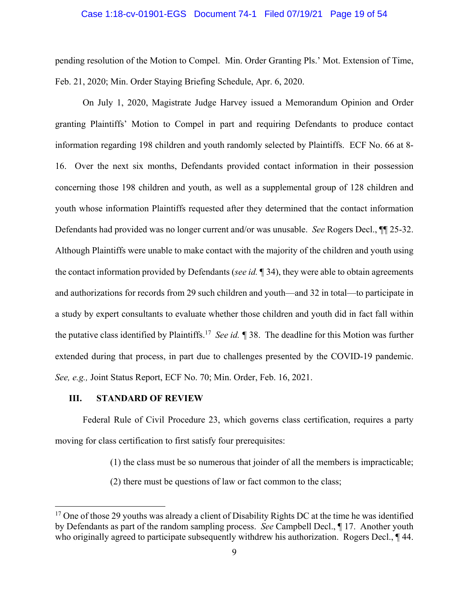#### Case 1:18-cv-01901-EGS Document 74-1 Filed 07/19/21 Page 19 of 54

pending resolution of the Motion to Compel. Min. Order Granting Pls.' Mot. Extension of Time, Feb. 21, 2020; Min. Order Staying Briefing Schedule, Apr. 6, 2020.

On July 1, 2020, Magistrate Judge Harvey issued a Memorandum Opinion and Order granting Plaintiffs' Motion to Compel in part and requiring Defendants to produce contact information regarding 198 children and youth randomly selected by Plaintiffs. ECF No. 66 at 8- 16. Over the next six months, Defendants provided contact information in their possession concerning those 198 children and youth, as well as a supplemental group of 128 children and youth whose information Plaintiffs requested after they determined that the contact information Defendants had provided was no longer current and/or was unusable. *See* Rogers Decl., ¶¶ 25-32. Although Plaintiffs were unable to make contact with the majority of the children and youth using the contact information provided by Defendants (*see id.* ¶ 34), they were able to obtain agreements and authorizations for records from 29 such children and youth—and 32 in total—to participate in a study by expert consultants to evaluate whether those children and youth did in fact fall within the putative class identified by Plaintiffs.17 *See id. ¶* 38. The deadline for this Motion was further extended during that process, in part due to challenges presented by the COVID-19 pandemic. *See, e.g.,* Joint Status Report, ECF No. 70; Min. Order, Feb. 16, 2021.

#### **III. STANDARD OF REVIEW**

 $\overline{a}$ 

Federal Rule of Civil Procedure 23, which governs class certification, requires a party moving for class certification to first satisfy four prerequisites:

- (1) the class must be so numerous that joinder of all the members is impracticable;
- (2) there must be questions of law or fact common to the class;

 $17$  One of those 29 youths was already a client of Disability Rights DC at the time he was identified by Defendants as part of the random sampling process. *See* Campbell Decl., ¶ 17. Another youth who originally agreed to participate subsequently withdrew his authorization. Rogers Decl.,  $\P$  44.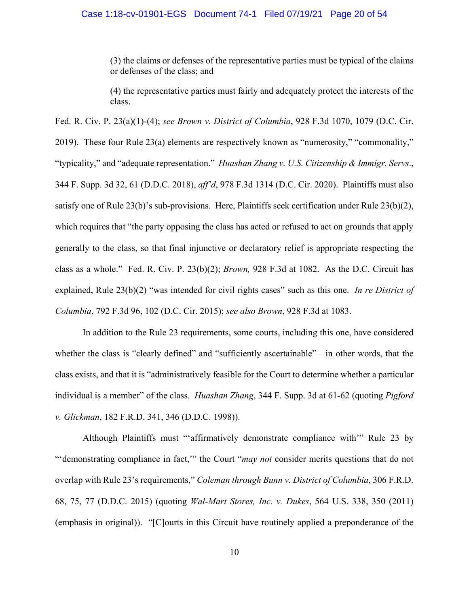(3) the claims or defenses of the representative parties must be typical of the claims or defenses of the class; and

(4) the representative parties must fairly and adequately protect the interests of the class.

Fed. R. Civ. P. 23(a)(1)-(4); *see Brown v. District of Columbia*, 928 F.3d 1070, 1079 (D.C. Cir. 2019). These four Rule 23(a) elements are respectively known as "numerosity," "commonality," "typicality," and "adequate representation." *Huashan Zhang v. U.S. Citizenship & Immigr. Servs*., 344 F. Supp. 3d 32, 61 (D.D.C. 2018), *aff'd*, 978 F.3d 1314 (D.C. Cir. 2020). Plaintiffs must also satisfy one of Rule 23(b)'s sub-provisions. Here, Plaintiffs seek certification under Rule 23(b)(2), which requires that "the party opposing the class has acted or refused to act on grounds that apply generally to the class, so that final injunctive or declaratory relief is appropriate respecting the class as a whole." Fed. R. Civ. P. 23(b)(2); *Brown,* 928 F.3d at 1082. As the D.C. Circuit has explained, Rule 23(b)(2) "was intended for civil rights cases" such as this one. *In re District of Columbia*, 792 F.3d 96, 102 (D.C. Cir. 2015); *see also Brown*, 928 F.3d at 1083.

In addition to the Rule 23 requirements, some courts, including this one, have considered whether the class is "clearly defined" and "sufficiently ascertainable"—in other words, that the class exists, and that it is "administratively feasible for the Court to determine whether a particular individual is a member" of the class. *Huashan Zhang*, 344 F. Supp. 3d at 61-62 (quoting *Pigford v. Glickman*, 182 F.R.D. 341, 346 (D.D.C. 1998)).

Although Plaintiffs must "'affirmatively demonstrate compliance with'" Rule 23 by "'demonstrating compliance in fact,'" the Court "*may not* consider merits questions that do not overlap with Rule 23's requirements," *Coleman through Bunn v. District of Columbia*, 306 F.R.D. 68, 75, 77 (D.D.C. 2015) (quoting *Wal-Mart Stores, Inc. v. Dukes*, 564 U.S. 338, 350 (2011) (emphasis in original)). "[C]ourts in this Circuit have routinely applied a preponderance of the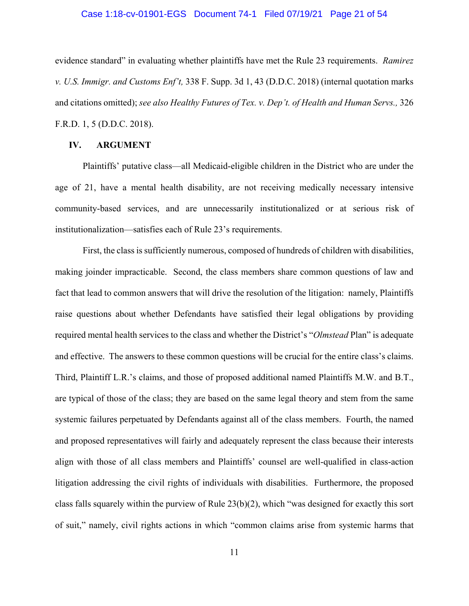#### Case 1:18-cv-01901-EGS Document 74-1 Filed 07/19/21 Page 21 of 54

evidence standard" in evaluating whether plaintiffs have met the Rule 23 requirements. *Ramirez v. U.S. Immigr. and Customs Enf't,* 338 F. Supp. 3d 1, 43 (D.D.C. 2018) (internal quotation marks and citations omitted); *see also Healthy Futures of Tex. v. Dep't. of Health and Human Servs.,* 326 F.R.D. 1, 5 (D.D.C. 2018).

#### **IV. ARGUMENT**

Plaintiffs' putative class—all Medicaid-eligible children in the District who are under the age of 21, have a mental health disability, are not receiving medically necessary intensive community-based services, and are unnecessarily institutionalized or at serious risk of institutionalization—satisfies each of Rule 23's requirements.

First, the class is sufficiently numerous, composed of hundreds of children with disabilities, making joinder impracticable. Second, the class members share common questions of law and fact that lead to common answers that will drive the resolution of the litigation: namely, Plaintiffs raise questions about whether Defendants have satisfied their legal obligations by providing required mental health services to the class and whether the District's "*Olmstead* Plan" is adequate and effective. The answers to these common questions will be crucial for the entire class's claims. Third, Plaintiff L.R.'s claims, and those of proposed additional named Plaintiffs M.W. and B.T., are typical of those of the class; they are based on the same legal theory and stem from the same systemic failures perpetuated by Defendants against all of the class members. Fourth, the named and proposed representatives will fairly and adequately represent the class because their interests align with those of all class members and Plaintiffs' counsel are well-qualified in class-action litigation addressing the civil rights of individuals with disabilities. Furthermore, the proposed class falls squarely within the purview of Rule 23(b)(2), which "was designed for exactly this sort of suit," namely, civil rights actions in which "common claims arise from systemic harms that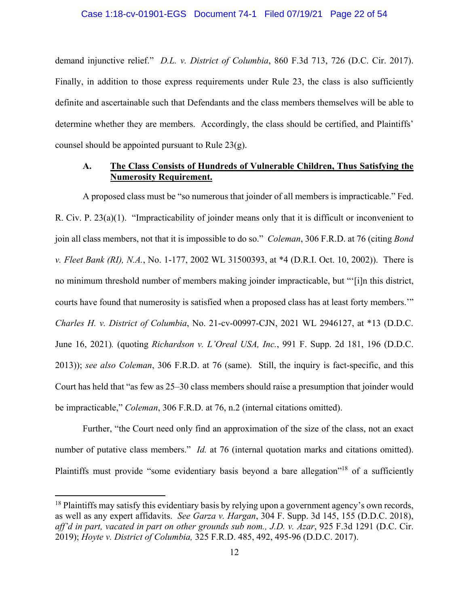demand injunctive relief." *D.L. v. District of Columbia*, 860 F.3d 713, 726 (D.C. Cir. 2017). Finally, in addition to those express requirements under Rule 23, the class is also sufficiently definite and ascertainable such that Defendants and the class members themselves will be able to determine whether they are members. Accordingly, the class should be certified, and Plaintiffs' counsel should be appointed pursuant to Rule 23(g).

### **A. The Class Consists of Hundreds of Vulnerable Children, Thus Satisfying the Numerosity Requirement.**

A proposed class must be "so numerous that joinder of all members is impracticable." Fed. R. Civ. P. 23(a)(1). "Impracticability of joinder means only that it is difficult or inconvenient to join all class members, not that it is impossible to do so." *Coleman*, 306 F.R.D. at 76 (citing *Bond v. Fleet Bank (RI), N.A.*, No. 1-177, 2002 WL 31500393, at \*4 (D.R.I. Oct. 10, 2002)).There is no minimum threshold number of members making joinder impracticable, but "'[i]n this district, courts have found that numerosity is satisfied when a proposed class has at least forty members.'" *Charles H. v. District of Columbia*, No. 21-cv-00997-CJN, 2021 WL 2946127, at \*13 (D.D.C. June 16, 2021)*.* (quoting *Richardson v. L'Oreal USA, Inc.*, 991 F. Supp. 2d 181, 196 (D.D.C. 2013)); *see also Coleman*, 306 F.R.D. at 76 (same). Still, the inquiry is fact-specific, and this Court has held that "as few as 25–30 class members should raise a presumption that joinder would be impracticable," *Coleman*, 306 F.R.D. at 76, n.2 (internal citations omitted).

Further, "the Court need only find an approximation of the size of the class, not an exact number of putative class members." *Id.* at 76 (internal quotation marks and citations omitted). Plaintiffs must provide "some evidentiary basis beyond a bare allegation"<sup>18</sup> of a sufficiently

 $18$  Plaintiffs may satisfy this evidentiary basis by relying upon a government agency's own records, as well as any expert affidavits. *See Garza v. Hargan*, 304 F. Supp. 3d 145, 155 (D.D.C. 2018), *aff'd in part, vacated in part on other grounds sub nom., J.D. v. Azar*, 925 F.3d 1291 (D.C. Cir. 2019); *Hoyte v. District of Columbia,* 325 F.R.D. 485, 492, 495-96 (D.D.C. 2017).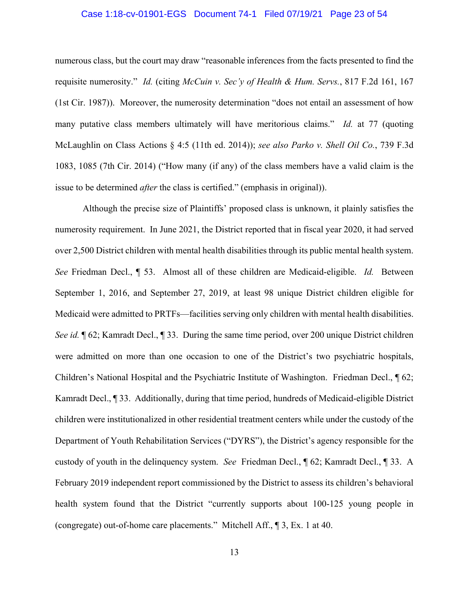#### Case 1:18-cv-01901-EGS Document 74-1 Filed 07/19/21 Page 23 of 54

numerous class, but the court may draw "reasonable inferences from the facts presented to find the requisite numerosity." *Id.* (citing *McCuin v. Sec'y of Health & Hum. Servs.*, 817 F.2d 161, 167 (1st Cir. 1987)). Moreover, the numerosity determination "does not entail an assessment of how many putative class members ultimately will have meritorious claims." *Id.* at 77 (quoting McLaughlin on Class Actions § 4:5 (11th ed. 2014)); *see also Parko v. Shell Oil Co.*, 739 F.3d 1083, 1085 (7th Cir. 2014) ("How many (if any) of the class members have a valid claim is the issue to be determined *after* the class is certified." (emphasis in original)).

Although the precise size of Plaintiffs' proposed class is unknown, it plainly satisfies the numerosity requirement. In June 2021, the District reported that in fiscal year 2020, it had served over 2,500 District children with mental health disabilities through its public mental health system. *See* Friedman Decl., ¶ 53. Almost all of these children are Medicaid-eligible. *Id.* Between September 1, 2016, and September 27, 2019, at least 98 unique District children eligible for Medicaid were admitted to PRTFs—facilities serving only children with mental health disabilities. *See id.* ¶ 62; Kamradt Decl., ¶ 33. During the same time period, over 200 unique District children were admitted on more than one occasion to one of the District's two psychiatric hospitals, Children's National Hospital and the Psychiatric Institute of Washington. Friedman Decl., ¶ 62; Kamradt Decl., ¶ 33. Additionally, during that time period, hundreds of Medicaid-eligible District children were institutionalized in other residential treatment centers while under the custody of the Department of Youth Rehabilitation Services ("DYRS"), the District's agency responsible for the custody of youth in the delinquency system. *See* Friedman Decl., ¶ 62; Kamradt Decl., ¶ 33. A February 2019 independent report commissioned by the District to assess its children's behavioral health system found that the District "currently supports about 100-125 young people in (congregate) out-of-home care placements." Mitchell Aff., ¶ 3, Ex. 1 at 40.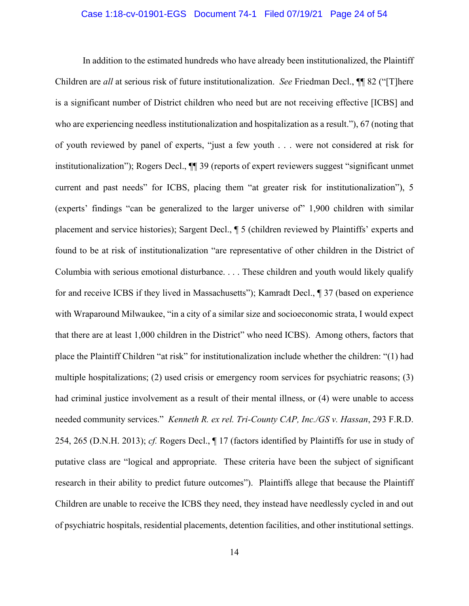#### Case 1:18-cv-01901-EGS Document 74-1 Filed 07/19/21 Page 24 of 54

In addition to the estimated hundreds who have already been institutionalized, the Plaintiff Children are *all* at serious risk of future institutionalization. *See* Friedman Decl., ¶¶ 82 ("[T]here is a significant number of District children who need but are not receiving effective [ICBS] and who are experiencing needless institutionalization and hospitalization as a result."), 67 (noting that of youth reviewed by panel of experts, "just a few youth . . . were not considered at risk for institutionalization"); Rogers Decl., ¶¶ 39 (reports of expert reviewers suggest "significant unmet current and past needs" for ICBS, placing them "at greater risk for institutionalization"), 5 (experts' findings "can be generalized to the larger universe of" 1,900 children with similar placement and service histories); Sargent Decl., ¶ 5 (children reviewed by Plaintiffs' experts and found to be at risk of institutionalization "are representative of other children in the District of Columbia with serious emotional disturbance. . . . These children and youth would likely qualify for and receive ICBS if they lived in Massachusetts"); Kamradt Decl., ¶ 37 (based on experience with Wraparound Milwaukee, "in a city of a similar size and socioeconomic strata, I would expect that there are at least 1,000 children in the District" who need ICBS). Among others, factors that place the Plaintiff Children "at risk" for institutionalization include whether the children: "(1) had multiple hospitalizations; (2) used crisis or emergency room services for psychiatric reasons; (3) had criminal justice involvement as a result of their mental illness, or (4) were unable to access needed community services." *Kenneth R. ex rel. Tri-County CAP, Inc./GS v. Hassan*, 293 F.R.D. 254, 265 (D.N.H. 2013); *cf.* Rogers Decl., ¶ 17 (factors identified by Plaintiffs for use in study of putative class are "logical and appropriate. These criteria have been the subject of significant research in their ability to predict future outcomes"). Plaintiffs allege that because the Plaintiff Children are unable to receive the ICBS they need, they instead have needlessly cycled in and out of psychiatric hospitals, residential placements, detention facilities, and other institutional settings.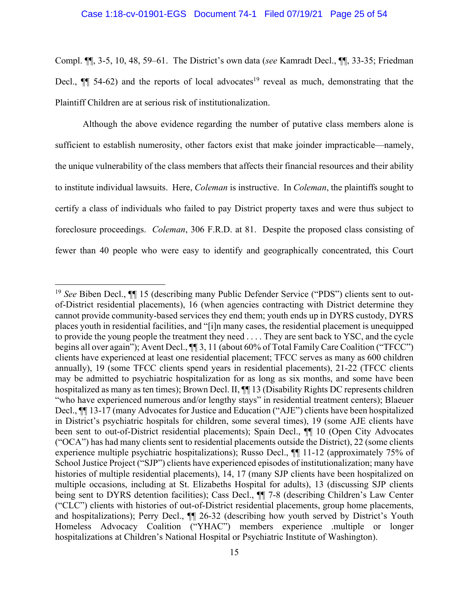Compl. ¶¶, 3-5, 10, 48, 59–61. The District's own data (*see* Kamradt Decl., ¶¶, 33-35; Friedman Decl.,  $\P$  54-62) and the reports of local advocates<sup>19</sup> reveal as much, demonstrating that the Plaintiff Children are at serious risk of institutionalization.

Although the above evidence regarding the number of putative class members alone is sufficient to establish numerosity, other factors exist that make joinder impracticable—namely, the unique vulnerability of the class members that affects their financial resources and their ability to institute individual lawsuits. Here, *Coleman* is instructive. In *Coleman*, the plaintiffs sought to certify a class of individuals who failed to pay District property taxes and were thus subject to foreclosure proceedings. *Coleman*, 306 F.R.D. at 81. Despite the proposed class consisting of fewer than 40 people who were easy to identify and geographically concentrated, this Court

1

<sup>&</sup>lt;sup>19</sup> *See* Biben Decl.,  $\P\P$  15 (describing many Public Defender Service ("PDS") clients sent to outof-District residential placements), 16 (when agencies contracting with District determine they cannot provide community-based services they end them; youth ends up in DYRS custody, DYRS places youth in residential facilities, and "[i]n many cases, the residential placement is unequipped to provide the young people the treatment they need . . . . They are sent back to YSC, and the cycle begins all over again"); Avent Decl., ¶¶ 3, 11 (about 60% of Total Family Care Coalition ("TFCC") clients have experienced at least one residential placement; TFCC serves as many as 600 children annually), 19 (some TFCC clients spend years in residential placements), 21-22 (TFCC clients may be admitted to psychiatric hospitalization for as long as six months, and some have been hospitalized as many as ten times); Brown Decl. II,  $\P$  13 (Disability Rights DC represents children "who have experienced numerous and/or lengthy stays" in residential treatment centers); Blaeuer Decl., ¶¶ 13-17 (many Advocates for Justice and Education ("AJE") clients have been hospitalized in District's psychiatric hospitals for children, some several times), 19 (some AJE clients have been sent to out-of-District residential placements); Spain Decl.,  $\P$  10 (Open City Advocates ("OCA") has had many clients sent to residential placements outside the District), 22 (some clients experience multiple psychiatric hospitalizations); Russo Decl., ¶¶ 11-12 (approximately 75% of School Justice Project ("SJP") clients have experienced episodes of institutionalization; many have histories of multiple residential placements), 14, 17 (many SJP clients have been hospitalized on multiple occasions, including at St. Elizabeths Hospital for adults), 13 (discussing SJP clients being sent to DYRS detention facilities); Cass Decl., ¶¶ 7-8 (describing Children's Law Center ("CLC") clients with histories of out-of-District residential placements, group home placements, and hospitalizations); Perry Decl., ¶¶ 26-32 (describing how youth served by District's Youth Homeless Advocacy Coalition ("YHAC") members experience .multiple or longer hospitalizations at Children's National Hospital or Psychiatric Institute of Washington).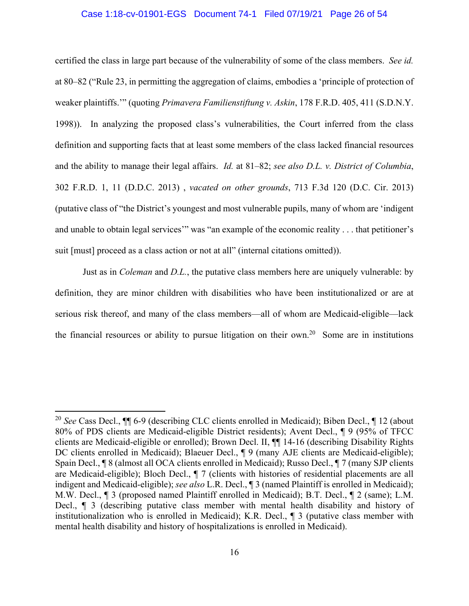#### Case 1:18-cv-01901-EGS Document 74-1 Filed 07/19/21 Page 26 of 54

certified the class in large part because of the vulnerability of some of the class members. *See id.*  at 80–82 ("Rule 23, in permitting the aggregation of claims, embodies a 'principle of protection of weaker plaintiffs.'" (quoting *Primavera Familienstiftung v. Askin*, 178 F.R.D. 405, 411 (S.D.N.Y. 1998)). In analyzing the proposed class's vulnerabilities, the Court inferred from the class definition and supporting facts that at least some members of the class lacked financial resources and the ability to manage their legal affairs. *Id.* at 81–82; *see also D.L. v. District of Columbia*, 302 F.R.D. 1, 11 (D.D.C. 2013) , *vacated on other grounds*, 713 F.3d 120 (D.C. Cir. 2013) (putative class of "the District's youngest and most vulnerable pupils, many of whom are 'indigent and unable to obtain legal services'" was "an example of the economic reality . . . that petitioner's suit [must] proceed as a class action or not at all" (internal citations omitted)).

Just as in *Coleman* and *D.L.*, the putative class members here are uniquely vulnerable: by definition, they are minor children with disabilities who have been institutionalized or are at serious risk thereof, and many of the class members—all of whom are Medicaid-eligible—lack the financial resources or ability to pursue litigation on their own.<sup>20</sup> Some are in institutions

<sup>20</sup> *See* Cass Decl., ¶¶ 6-9 (describing CLC clients enrolled in Medicaid); Biben Decl., ¶ 12 (about 80% of PDS clients are Medicaid-eligible District residents); Avent Decl., ¶ 9 (95% of TFCC clients are Medicaid-eligible or enrolled); Brown Decl. II, ¶¶ 14-16 (describing Disability Rights DC clients enrolled in Medicaid); Blaeuer Decl.,  $\P$  9 (many AJE clients are Medicaid-eligible); Spain Decl., ¶ 8 (almost all OCA clients enrolled in Medicaid); Russo Decl., ¶ 7 (many SJP clients are Medicaid-eligible); Bloch Decl., ¶ 7 (clients with histories of residential placements are all indigent and Medicaid-eligible); *see also* L.R. Decl., ¶ 3 (named Plaintiff is enrolled in Medicaid); M.W. Decl., ¶ 3 (proposed named Plaintiff enrolled in Medicaid); B.T. Decl., ¶ 2 (same); L.M. Decl., ¶ 3 (describing putative class member with mental health disability and history of institutionalization who is enrolled in Medicaid); K.R. Decl., ¶ 3 (putative class member with mental health disability and history of hospitalizations is enrolled in Medicaid).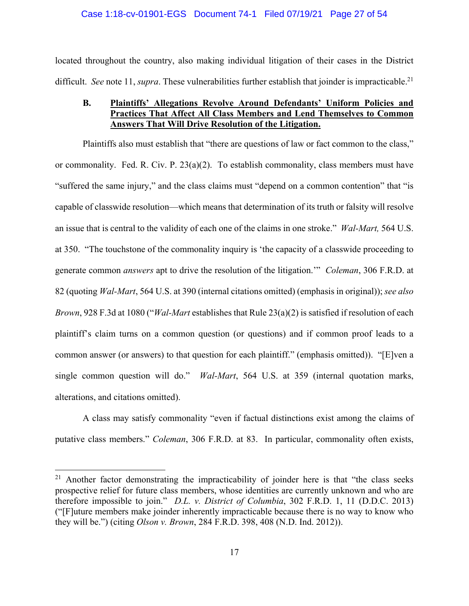#### Case 1:18-cv-01901-EGS Document 74-1 Filed 07/19/21 Page 27 of 54

located throughout the country, also making individual litigation of their cases in the District difficult. *See* note 11, *supra*. These vulnerabilities further establish that joinder is impracticable.<sup>21</sup>

### **B. Plaintiffs' Allegations Revolve Around Defendants' Uniform Policies and Practices That Affect All Class Members and Lend Themselves to Common Answers That Will Drive Resolution of the Litigation.**

 Plaintiffs also must establish that "there are questions of law or fact common to the class," or commonality. Fed. R. Civ. P.  $23(a)(2)$ . To establish commonality, class members must have "suffered the same injury," and the class claims must "depend on a common contention" that "is capable of classwide resolution—which means that determination of its truth or falsity will resolve an issue that is central to the validity of each one of the claims in one stroke." *Wal-Mart,* 564 U.S. at 350. "The touchstone of the commonality inquiry is 'the capacity of a classwide proceeding to generate common *answers* apt to drive the resolution of the litigation.'" *Coleman*, 306 F.R.D. at 82 (quoting *Wal-Mart*, 564 U.S. at 390 (internal citations omitted) (emphasis in original)); *see also Brown*, 928 F.3d at 1080 ("*Wal-Mart* establishes that Rule 23(a)(2) is satisfied if resolution of each plaintiff's claim turns on a common question (or questions) and if common proof leads to a common answer (or answers) to that question for each plaintiff." (emphasis omitted)). "[E]ven a single common question will do." *Wal-Mart*, 564 U.S. at 359 (internal quotation marks, alterations, and citations omitted).

A class may satisfy commonality "even if factual distinctions exist among the claims of putative class members." *Coleman*, 306 F.R.D. at 83. In particular, commonality often exists,

 $21$  Another factor demonstrating the impracticability of joinder here is that "the class seeks prospective relief for future class members, whose identities are currently unknown and who are therefore impossible to join." *D.L. v. District of Columbia*, 302 F.R.D. 1, 11 (D.D.C. 2013) ("[F]uture members make joinder inherently impracticable because there is no way to know who they will be.") (citing *Olson v. Brown*, 284 F.R.D. 398, 408 (N.D. Ind. 2012)).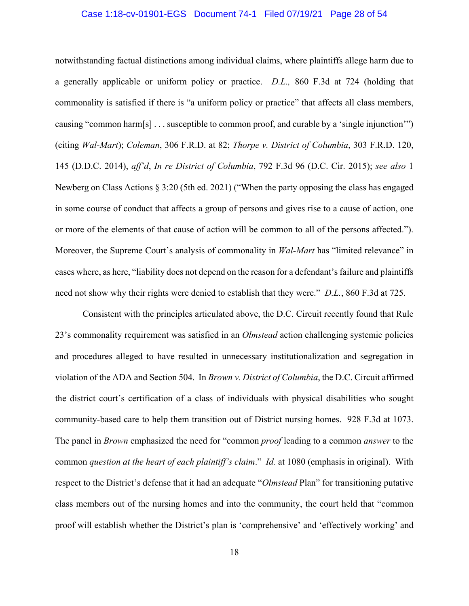#### Case 1:18-cv-01901-EGS Document 74-1 Filed 07/19/21 Page 28 of 54

notwithstanding factual distinctions among individual claims, where plaintiffs allege harm due to a generally applicable or uniform policy or practice. *D.L.,* 860 F.3d at 724 (holding that commonality is satisfied if there is "a uniform policy or practice" that affects all class members, causing "common harm[s] . . . susceptible to common proof, and curable by a 'single injunction'") (citing *Wal-Mart*); *Coleman*, 306 F.R.D. at 82; *Thorpe v. District of Columbia*, 303 F.R.D. 120, 145 (D.D.C. 2014), *aff'd*, *In re District of Columbia*, 792 F.3d 96 (D.C. Cir. 2015); *see also* 1 Newberg on Class Actions § 3:20 (5th ed. 2021) ("When the party opposing the class has engaged in some course of conduct that affects a group of persons and gives rise to a cause of action, one or more of the elements of that cause of action will be common to all of the persons affected."). Moreover, the Supreme Court's analysis of commonality in *Wal-Mart* has "limited relevance" in cases where, as here, "liability does not depend on the reason for a defendant's failure and plaintiffs need not show why their rights were denied to establish that they were." *D.L.*, 860 F.3d at 725.

Consistent with the principles articulated above, the D.C. Circuit recently found that Rule 23's commonality requirement was satisfied in an *Olmstead* action challenging systemic policies and procedures alleged to have resulted in unnecessary institutionalization and segregation in violation of the ADA and Section 504. In *Brown v. District of Columbia*, the D.C. Circuit affirmed the district court's certification of a class of individuals with physical disabilities who sought community-based care to help them transition out of District nursing homes. 928 F.3d at 1073. The panel in *Brown* emphasized the need for "common *proof* leading to a common *answer* to the common *question at the heart of each plaintiff's claim*." *Id.* at 1080 (emphasis in original). With respect to the District's defense that it had an adequate "*Olmstead* Plan" for transitioning putative class members out of the nursing homes and into the community, the court held that "common proof will establish whether the District's plan is 'comprehensive' and 'effectively working' and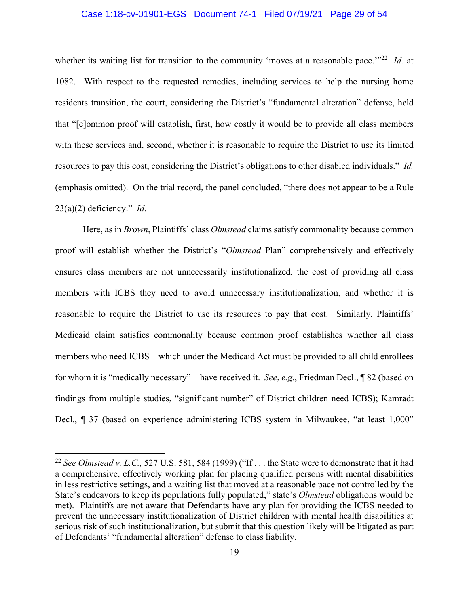#### Case 1:18-cv-01901-EGS Document 74-1 Filed 07/19/21 Page 29 of 54

whether its waiting list for transition to the community 'moves at a reasonable pace.'"<sup>22</sup> *Id.* at 1082.With respect to the requested remedies, including services to help the nursing home residents transition, the court, considering the District's "fundamental alteration" defense, held that "[c]ommon proof will establish, first, how costly it would be to provide all class members with these services and, second, whether it is reasonable to require the District to use its limited resources to pay this cost, considering the District's obligations to other disabled individuals." *Id.* (emphasis omitted). On the trial record, the panel concluded, "there does not appear to be a Rule 23(a)(2) deficiency." *Id.*

Here, as in *Brown*, Plaintiffs' class *Olmstead* claims satisfy commonality because common proof will establish whether the District's "*Olmstead* Plan" comprehensively and effectively ensures class members are not unnecessarily institutionalized, the cost of providing all class members with ICBS they need to avoid unnecessary institutionalization, and whether it is reasonable to require the District to use its resources to pay that cost. Similarly, Plaintiffs' Medicaid claim satisfies commonality because common proof establishes whether all class members who need ICBS—which under the Medicaid Act must be provided to all child enrollees for whom it is "medically necessary"—have received it. *See*, *e.g.*, Friedman Decl., ¶ 82 (based on findings from multiple studies, "significant number" of District children need ICBS); Kamradt Decl., ¶ 37 (based on experience administering ICBS system in Milwaukee, "at least 1,000"

<sup>&</sup>lt;sup>22</sup> See Olmstead v. L.C., 527 U.S. 581, 584 (1999) ("If ... the State were to demonstrate that it had a comprehensive, effectively working plan for placing qualified persons with mental disabilities in less restrictive settings, and a waiting list that moved at a reasonable pace not controlled by the State's endeavors to keep its populations fully populated," state's *Olmstead* obligations would be met). Plaintiffs are not aware that Defendants have any plan for providing the ICBS needed to prevent the unnecessary institutionalization of District children with mental health disabilities at serious risk of such institutionalization, but submit that this question likely will be litigated as part of Defendants' "fundamental alteration" defense to class liability.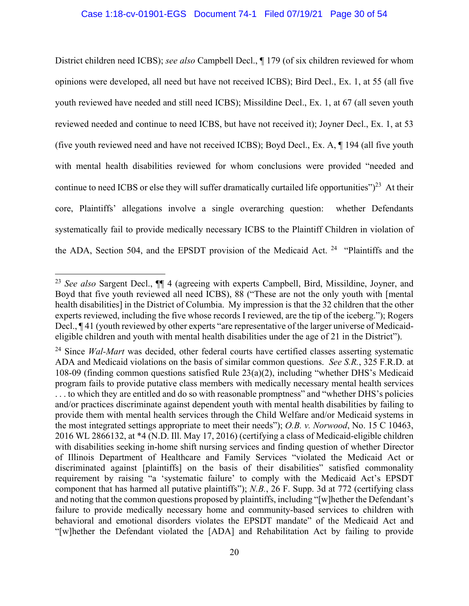#### Case 1:18-cv-01901-EGS Document 74-1 Filed 07/19/21 Page 30 of 54

District children need ICBS); *see also* Campbell Decl., ¶ 179 (of six children reviewed for whom opinions were developed, all need but have not received ICBS); Bird Decl., Ex. 1, at 55 (all five youth reviewed have needed and still need ICBS); Missildine Decl., Ex. 1, at 67 (all seven youth reviewed needed and continue to need ICBS, but have not received it); Joyner Decl., Ex. 1, at 53 (five youth reviewed need and have not received ICBS); Boyd Decl., Ex. A, ¶ 194 (all five youth with mental health disabilities reviewed for whom conclusions were provided "needed and continue to need ICBS or else they will suffer dramatically curtailed life opportunities" $)^{23}$  At their core, Plaintiffs' allegations involve a single overarching question: whether Defendants systematically fail to provide medically necessary ICBS to the Plaintiff Children in violation of the ADA, Section 504, and the EPSDT provision of the Medicaid Act.  $24$  "Plaintiffs and the

<sup>23</sup> *See also* Sargent Decl., ¶¶ 4 (agreeing with experts Campbell, Bird, Missildine, Joyner, and Boyd that five youth reviewed all need ICBS), 88 ("These are not the only youth with [mental health disabilities] in the District of Columbia. My impression is that the 32 children that the other experts reviewed, including the five whose records I reviewed, are the tip of the iceberg."); Rogers Decl., ¶ 41 (youth reviewed by other experts "are representative of the larger universe of Medicaideligible children and youth with mental health disabilities under the age of 21 in the District").

<sup>&</sup>lt;sup>24</sup> Since *Wal-Mart* was decided, other federal courts have certified classes asserting systematic ADA and Medicaid violations on the basis of similar common questions. *See S.R.*, 325 F.R.D. at 108-09 (finding common questions satisfied Rule 23(a)(2), including "whether DHS's Medicaid program fails to provide putative class members with medically necessary mental health services . . . to which they are entitled and do so with reasonable promptness" and "whether DHS's policies and/or practices discriminate against dependent youth with mental health disabilities by failing to provide them with mental health services through the Child Welfare and/or Medicaid systems in the most integrated settings appropriate to meet their needs"); *O.B. v. Norwood*, No. 15 C 10463, 2016 WL 2866132, at \*4 (N.D. Ill. May 17, 2016) (certifying a class of Medicaid-eligible children with disabilities seeking in-home shift nursing services and finding question of whether Director of Illinois Department of Healthcare and Family Services "violated the Medicaid Act or discriminated against [plaintiffs] on the basis of their disabilities" satisfied commonality requirement by raising "a 'systematic failure' to comply with the Medicaid Act's EPSDT component that has harmed all putative plaintiffs"); *N.B.*, 26 F. Supp. 3d at 772 (certifying class and noting that the common questions proposed by plaintiffs, including "[w]hether the Defendant's failure to provide medically necessary home and community-based services to children with behavioral and emotional disorders violates the EPSDT mandate" of the Medicaid Act and "[w]hether the Defendant violated the [ADA] and Rehabilitation Act by failing to provide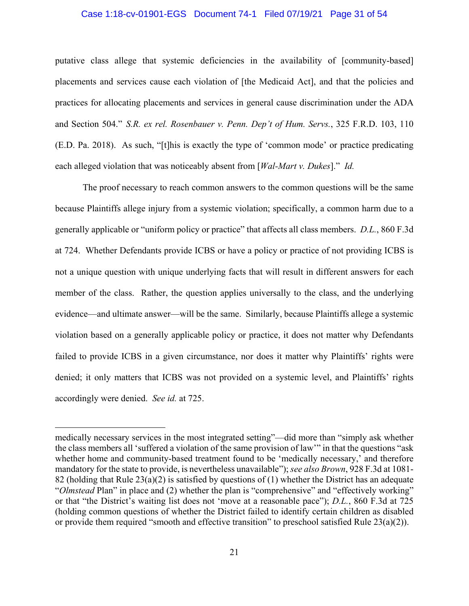#### Case 1:18-cv-01901-EGS Document 74-1 Filed 07/19/21 Page 31 of 54

putative class allege that systemic deficiencies in the availability of [community-based] placements and services cause each violation of [the Medicaid Act], and that the policies and practices for allocating placements and services in general cause discrimination under the ADA and Section 504." *S.R. ex rel. Rosenbauer v. Penn. Dep't of Hum. Servs.*, 325 F.R.D. 103, 110 (E.D. Pa. 2018). As such, "[t]his is exactly the type of 'common mode' or practice predicating each alleged violation that was noticeably absent from [*Wal-Mart v. Dukes*]." *Id.*

The proof necessary to reach common answers to the common questions will be the same because Plaintiffs allege injury from a systemic violation; specifically, a common harm due to a generally applicable or "uniform policy or practice" that affects all class members. *D.L.*, 860 F.3d at 724. Whether Defendants provide ICBS or have a policy or practice of not providing ICBS is not a unique question with unique underlying facts that will result in different answers for each member of the class. Rather, the question applies universally to the class, and the underlying evidence—and ultimate answer—will be the same. Similarly, because Plaintiffs allege a systemic violation based on a generally applicable policy or practice, it does not matter why Defendants failed to provide ICBS in a given circumstance, nor does it matter why Plaintiffs' rights were denied; it only matters that ICBS was not provided on a systemic level, and Plaintiffs' rights accordingly were denied. *See id.* at 725.

medically necessary services in the most integrated setting"—did more than "simply ask whether the class members all 'suffered a violation of the same provision of law'" in that the questions "ask whether home and community-based treatment found to be 'medically necessary,' and therefore mandatory for the state to provide, is nevertheless unavailable"); *see also Brown*, 928 F.3d at 1081- 82 (holding that Rule 23(a)(2) is satisfied by questions of (1) whether the District has an adequate "*Olmstead* Plan" in place and (2) whether the plan is "comprehensive" and "effectively working" or that "the District's waiting list does not 'move at a reasonable pace"); *D.L.*, 860 F.3d at 725 (holding common questions of whether the District failed to identify certain children as disabled or provide them required "smooth and effective transition" to preschool satisfied Rule 23(a)(2)).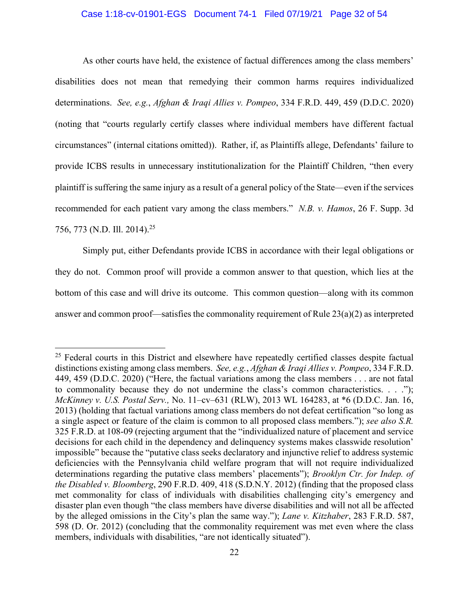#### Case 1:18-cv-01901-EGS Document 74-1 Filed 07/19/21 Page 32 of 54

As other courts have held, the existence of factual differences among the class members' disabilities does not mean that remedying their common harms requires individualized determinations. *See, e.g.*, *Afghan & Iraqi Allies v. Pompeo*, 334 F.R.D. 449, 459 (D.D.C. 2020) (noting that "courts regularly certify classes where individual members have different factual circumstances" (internal citations omitted)). Rather, if, as Plaintiffs allege, Defendants' failure to provide ICBS results in unnecessary institutionalization for the Plaintiff Children, "then every plaintiff is suffering the same injury as a result of a general policy of the State—even if the services recommended for each patient vary among the class members." *N.B. v. Hamos*, 26 F. Supp. 3d 756, 773 (N.D. Ill. 2014).25

 Simply put, either Defendants provide ICBS in accordance with their legal obligations or they do not. Common proof will provide a common answer to that question, which lies at the bottom of this case and will drive its outcome. This common question—along with its common answer and common proof—satisfies the commonality requirement of Rule 23(a)(2) as interpreted

<sup>&</sup>lt;sup>25</sup> Federal courts in this District and elsewhere have repeatedly certified classes despite factual distinctions existing among class members. *See, e.g.*, *Afghan & Iraqi Allies v. Pompeo*, 334 F.R.D. 449, 459 (D.D.C. 2020) ("Here, the factual variations among the class members . . . are not fatal to commonality because they do not undermine the class's common characteristics. . . ."); *McKinney v. U.S. Postal Serv.,* No. 11–cv–631 (RLW), 2013 WL 164283, at \*6 (D.D.C. Jan. 16, 2013) (holding that factual variations among class members do not defeat certification "so long as a single aspect or feature of the claim is common to all proposed class members."); *see also S.R.* 325 F.R.D. at 108-09 (rejecting argument that the "individualized nature of placement and service decisions for each child in the dependency and delinquency systems makes classwide resolution' impossible" because the "putative class seeks declaratory and injunctive relief to address systemic deficiencies with the Pennsylvania child welfare program that will not require individualized determinations regarding the putative class members' placements"); *Brooklyn Ctr. for Indep. of the Disabled v. Bloomberg*, 290 F.R.D. 409, 418 (S.D.N.Y. 2012) (finding that the proposed class met commonality for class of individuals with disabilities challenging city's emergency and disaster plan even though "the class members have diverse disabilities and will not all be affected by the alleged omissions in the City's plan the same way."); *Lane v. Kitzhaber*, 283 F.R.D. 587, 598 (D. Or. 2012) (concluding that the commonality requirement was met even where the class members, individuals with disabilities, "are not identically situated").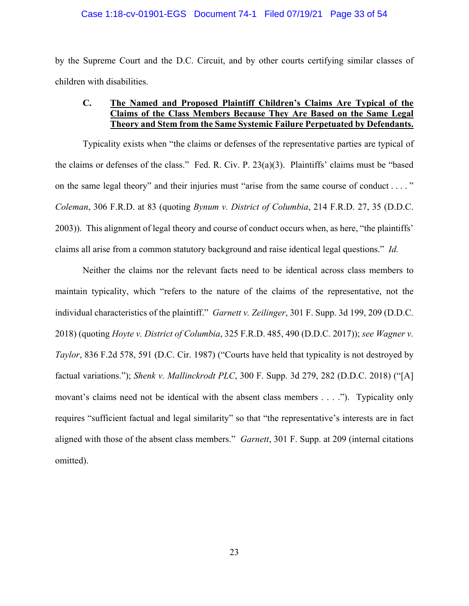#### Case 1:18-cv-01901-EGS Document 74-1 Filed 07/19/21 Page 33 of 54

by the Supreme Court and the D.C. Circuit, and by other courts certifying similar classes of children with disabilities.

## **C. The Named and Proposed Plaintiff Children's Claims Are Typical of the Claims of the Class Members Because They Are Based on the Same Legal Theory and Stem from the Same Systemic Failure Perpetuated by Defendants.**

Typicality exists when "the claims or defenses of the representative parties are typical of the claims or defenses of the class." Fed. R. Civ. P. 23(a)(3). Plaintiffs' claims must be "based on the same legal theory" and their injuries must "arise from the same course of conduct . . . . " *Coleman*, 306 F.R.D. at 83 (quoting *Bynum v. District of Columbia*, 214 F.R.D. 27, 35 (D.D.C. 2003)). This alignment of legal theory and course of conduct occurs when, as here, "the plaintiffs' claims all arise from a common statutory background and raise identical legal questions." *Id.*

Neither the claims nor the relevant facts need to be identical across class members to maintain typicality, which "refers to the nature of the claims of the representative, not the individual characteristics of the plaintiff." *Garnett v. Zeilinger*, 301 F. Supp. 3d 199, 209 (D.D.C. 2018) (quoting *Hoyte v. District of Columbia*, 325 F.R.D. 485, 490 (D.D.C. 2017)); *see Wagner v. Taylor*, 836 F.2d 578, 591 (D.C. Cir. 1987) ("Courts have held that typicality is not destroyed by factual variations."); *Shenk v. Mallinckrodt PLC*, 300 F. Supp. 3d 279, 282 (D.D.C. 2018) ("[A] movant's claims need not be identical with the absent class members . . . ."). Typicality only requires "sufficient factual and legal similarity" so that "the representative's interests are in fact aligned with those of the absent class members." *Garnett*, 301 F. Supp. at 209 (internal citations omitted).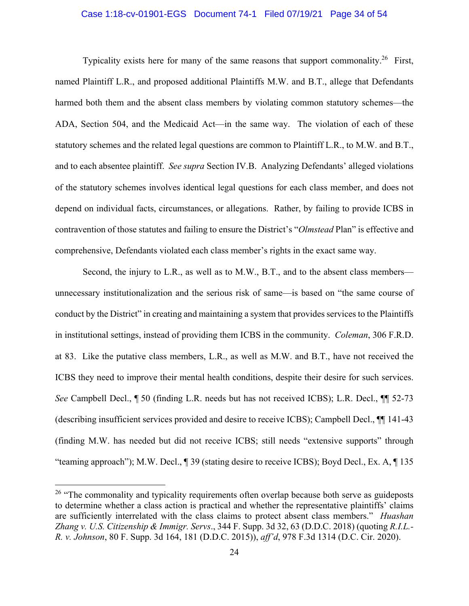#### Case 1:18-cv-01901-EGS Document 74-1 Filed 07/19/21 Page 34 of 54

Typicality exists here for many of the same reasons that support commonality.<sup>26</sup> First, named Plaintiff L.R., and proposed additional Plaintiffs M.W. and B.T., allege that Defendants harmed both them and the absent class members by violating common statutory schemes—the ADA, Section 504, and the Medicaid Act—in the same way. The violation of each of these statutory schemes and the related legal questions are common to Plaintiff L.R., to M.W. and B.T., and to each absentee plaintiff. *See supra* Section IV.B. Analyzing Defendants' alleged violations of the statutory schemes involves identical legal questions for each class member, and does not depend on individual facts, circumstances, or allegations. Rather, by failing to provide ICBS in contravention of those statutes and failing to ensure the District's "*Olmstead* Plan" is effective and comprehensive, Defendants violated each class member's rights in the exact same way.

Second, the injury to L.R., as well as to M.W., B.T., and to the absent class members unnecessary institutionalization and the serious risk of same—is based on "the same course of conduct by the District" in creating and maintaining a system that provides services to the Plaintiffs in institutional settings, instead of providing them ICBS in the community. *Coleman*, 306 F.R.D. at 83. Like the putative class members, L.R., as well as M.W. and B.T., have not received the ICBS they need to improve their mental health conditions, despite their desire for such services. *See* Campbell Decl., ¶ 50 (finding L.R. needs but has not received ICBS); L.R. Decl., ¶¶ 52-73 (describing insufficient services provided and desire to receive ICBS); Campbell Decl., ¶¶ 141-43 (finding M.W. has needed but did not receive ICBS; still needs "extensive supports" through "teaming approach"); M.W. Decl., ¶ 39 (stating desire to receive ICBS); Boyd Decl., Ex. A, ¶ 135

 $26$  "The commonality and typicality requirements often overlap because both serve as guideposts to determine whether a class action is practical and whether the representative plaintiffs' claims are sufficiently interrelated with the class claims to protect absent class members." *Huashan Zhang v. U.S. Citizenship & Immigr. Servs*., 344 F. Supp. 3d 32, 63 (D.D.C. 2018) (quoting *R.I.L.- R. v. Johnson*, 80 F. Supp. 3d 164, 181 (D.D.C. 2015)), *aff'd*, 978 F.3d 1314 (D.C. Cir. 2020).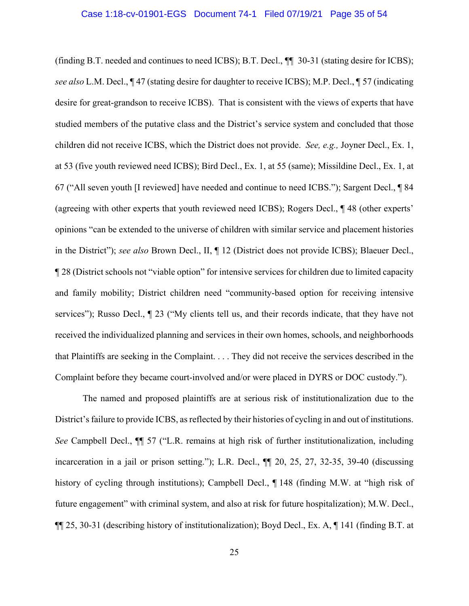#### Case 1:18-cv-01901-EGS Document 74-1 Filed 07/19/21 Page 35 of 54

(finding B.T. needed and continues to need ICBS); B.T. Decl., *¶*¶ 30-31 (stating desire for ICBS); *see also* L.M. Decl., ¶ 47 (stating desire for daughter to receive ICBS); M.P. Decl., ¶ 57 (indicating desire for great-grandson to receive ICBS). That is consistent with the views of experts that have studied members of the putative class and the District's service system and concluded that those children did not receive ICBS, which the District does not provide. *See, e.g.,* Joyner Decl., Ex. 1, at 53 (five youth reviewed need ICBS); Bird Decl., Ex. 1, at 55 (same); Missildine Decl., Ex. 1, at 67 ("All seven youth [I reviewed] have needed and continue to need ICBS."); Sargent Decl., ¶ 84 (agreeing with other experts that youth reviewed need ICBS); Rogers Decl., ¶ 48 (other experts' opinions "can be extended to the universe of children with similar service and placement histories in the District"); *see also* Brown Decl., II, ¶ 12 (District does not provide ICBS); Blaeuer Decl., ¶ 28 (District schools not "viable option" for intensive services for children due to limited capacity and family mobility; District children need "community-based option for receiving intensive services"); Russo Decl., ¶ 23 ("My clients tell us, and their records indicate, that they have not received the individualized planning and services in their own homes, schools, and neighborhoods that Plaintiffs are seeking in the Complaint. . . . They did not receive the services described in the Complaint before they became court-involved and/or were placed in DYRS or DOC custody.").

The named and proposed plaintiffs are at serious risk of institutionalization due to the District's failure to provide ICBS, as reflected by their histories of cycling in and out of institutions. *See* Campbell Decl., ¶¶ 57 ("L.R. remains at high risk of further institutionalization, including incarceration in a jail or prison setting."); L.R. Decl., ¶¶ 20, 25, 27, 32-35, 39-40 (discussing history of cycling through institutions); Campbell Decl.,  $\P$  148 (finding M.W. at "high risk of future engagement" with criminal system, and also at risk for future hospitalization); M.W. Decl., ¶¶ 25, 30-31 (describing history of institutionalization); Boyd Decl., Ex. A, ¶ 141 (finding B.T. at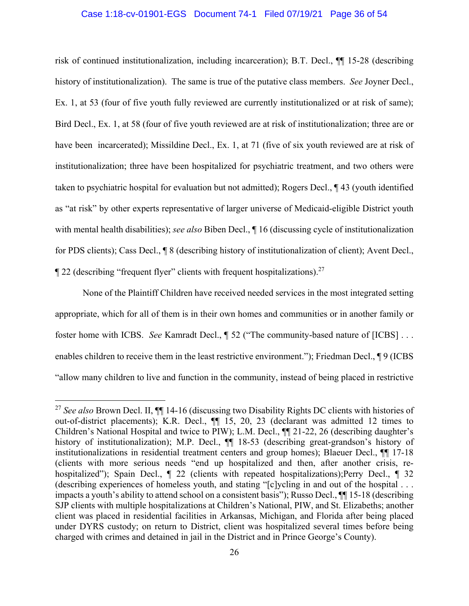#### Case 1:18-cv-01901-EGS Document 74-1 Filed 07/19/21 Page 36 of 54

risk of continued institutionalization, including incarceration); B.T. Decl., ¶¶ 15-28 (describing history of institutionalization). The same is true of the putative class members. *See* Joyner Decl., Ex. 1, at 53 (four of five youth fully reviewed are currently institutionalized or at risk of same); Bird Decl., Ex. 1, at 58 (four of five youth reviewed are at risk of institutionalization; three are or have been incarcerated); Missildine Decl., Ex. 1, at 71 (five of six youth reviewed are at risk of institutionalization; three have been hospitalized for psychiatric treatment, and two others were taken to psychiatric hospital for evaluation but not admitted); Rogers Decl., ¶ 43 (youth identified as "at risk" by other experts representative of larger universe of Medicaid-eligible District youth with mental health disabilities); *see also* Biben Decl., ¶ 16 (discussing cycle of institutionalization for PDS clients); Cass Decl., ¶ 8 (describing history of institutionalization of client); Avent Decl.,  $\llbracket$  22 (describing "frequent flyer" clients with frequent hospitalizations).<sup>27</sup>

None of the Plaintiff Children have received needed services in the most integrated setting appropriate, which for all of them is in their own homes and communities or in another family or foster home with ICBS. *See* Kamradt Decl., ¶ 52 ("The community-based nature of [ICBS] . . . enables children to receive them in the least restrictive environment."); Friedman Decl.,  $\P$ 9 (ICBS "allow many children to live and function in the community, instead of being placed in restrictive

<u>.</u>

<sup>27</sup> *See also* Brown Decl. II, ¶¶ 14-16 (discussing two Disability Rights DC clients with histories of out-of-district placements); K.R. Decl., ¶¶ 15, 20, 23 (declarant was admitted 12 times to Children's National Hospital and twice to PIW); L.M. Decl., ¶¶ 21-22, 26 (describing daughter's history of institutionalization); M.P. Decl.,  $\P$  18-53 (describing great-grandson's history of institutionalizations in residential treatment centers and group homes); Blaeuer Decl., ¶¶ 17-18 (clients with more serious needs "end up hospitalized and then, after another crisis, rehospitalized"); Spain Decl.,  $\parallel$  22 (clients with repeated hospitalizations); Perry Decl.,  $\parallel$  32 (describing experiences of homeless youth, and stating "[c]ycling in and out of the hospital . . . impacts a youth's ability to attend school on a consistent basis"); Russo Decl., ¶¶ 15-18 (describing SJP clients with multiple hospitalizations at Children's National, PIW, and St. Elizabeths; another client was placed in residential facilities in Arkansas, Michigan, and Florida after being placed under DYRS custody; on return to District, client was hospitalized several times before being charged with crimes and detained in jail in the District and in Prince George's County).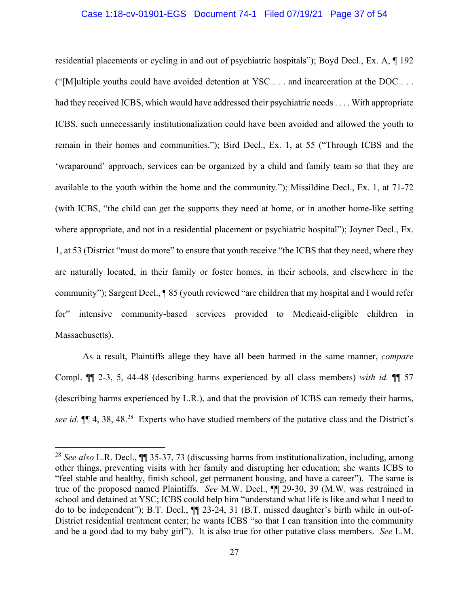#### Case 1:18-cv-01901-EGS Document 74-1 Filed 07/19/21 Page 37 of 54

residential placements or cycling in and out of psychiatric hospitals"); Boyd Decl., Ex. A, ¶ 192 ("[M]ultiple youths could have avoided detention at YSC  $\dots$  and incarceration at the DOC  $\dots$ had they received ICBS, which would have addressed their psychiatric needs . . . . With appropriate ICBS, such unnecessarily institutionalization could have been avoided and allowed the youth to remain in their homes and communities."); Bird Decl., Ex. 1, at 55 ("Through ICBS and the 'wraparound' approach, services can be organized by a child and family team so that they are available to the youth within the home and the community."); Missildine Decl., Ex. 1, at 71-72 (with ICBS, "the child can get the supports they need at home, or in another home-like setting where appropriate, and not in a residential placement or psychiatric hospital"); Joyner Decl., Ex. 1, at 53 (District "must do more" to ensure that youth receive "the ICBS that they need, where they are naturally located, in their family or foster homes, in their schools, and elsewhere in the community"); Sargent Decl., ¶ 85 (youth reviewed "are children that my hospital and I would refer for" intensive community-based services provided to Medicaid-eligible children in Massachusetts).

As a result, Plaintiffs allege they have all been harmed in the same manner, *compare*  Compl. ¶¶ 2-3, 5, 44-48 (describing harms experienced by all class members) *with id.* ¶¶ 57 (describing harms experienced by L.R.), and that the provision of ICBS can remedy their harms, *see id.*  $\mathbb{I}$  4, 38, 48<sup>28</sup> Experts who have studied members of the putative class and the District's

1

<sup>28</sup> *See also* L.R. Decl., ¶¶ 35-37, 73 (discussing harms from institutionalization, including, among other things, preventing visits with her family and disrupting her education; she wants ICBS to "feel stable and healthy, finish school, get permanent housing, and have a career"). The same is true of the proposed named Plaintiffs. *See* M.W. Decl., ¶¶ 29-30, 39 (M.W. was restrained in school and detained at YSC; ICBS could help him "understand what life is like and what I need to do to be independent"); B.T. Decl., ¶¶ 23-24, 31 (B.T. missed daughter's birth while in out-of-District residential treatment center; he wants ICBS "so that I can transition into the community and be a good dad to my baby girl"). It is also true for other putative class members. *See* L.M.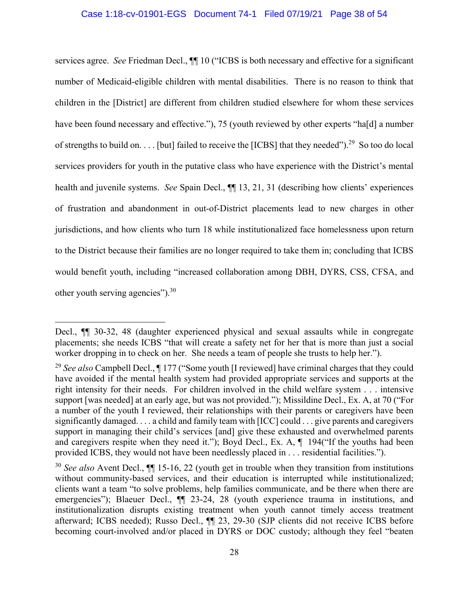services agree. *See* Friedman Decl., ¶¶ 10 ("ICBS is both necessary and effective for a significant number of Medicaid-eligible children with mental disabilities. There is no reason to think that children in the [District] are different from children studied elsewhere for whom these services have been found necessary and effective."), 75 (youth reviewed by other experts "ha[d] a number of strengths to build on. . . . [but] failed to receive the [ICBS] that they needed").<sup>29</sup> So too do local services providers for youth in the putative class who have experience with the District's mental health and juvenile systems. *See* Spain Decl., ¶¶ 13, 21, 31 (describing how clients' experiences of frustration and abandonment in out-of-District placements lead to new charges in other jurisdictions, and how clients who turn 18 while institutionalized face homelessness upon return to the District because their families are no longer required to take them in; concluding that ICBS would benefit youth, including "increased collaboration among DBH, DYRS, CSS, CFSA, and other youth serving agencies").30

1

Decl., ¶¶ 30-32, 48 (daughter experienced physical and sexual assaults while in congregate placements; she needs ICBS "that will create a safety net for her that is more than just a social worker dropping in to check on her. She needs a team of people she trusts to help her.").

<sup>&</sup>lt;sup>29</sup> See also Campbell Decl., ¶ 177 ("Some youth [I reviewed] have criminal charges that they could have avoided if the mental health system had provided appropriate services and supports at the right intensity for their needs. For children involved in the child welfare system . . . intensive support [was needed] at an early age, but was not provided."); Missildine Decl., Ex. A, at 70 ("For a number of the youth I reviewed, their relationships with their parents or caregivers have been significantly damaged. . . . a child and family team with [ICC] could . . . give parents and caregivers support in managing their child's services [and] give these exhausted and overwhelmed parents and caregivers respite when they need it."); Boyd Decl., Ex. A,  $\P$  194("If the youths had been provided ICBS, they would not have been needlessly placed in . . . residential facilities.").

<sup>&</sup>lt;sup>30</sup> See also Avent Decl., **[14** 15-16, 22 (youth get in trouble when they transition from institutions without community-based services, and their education is interrupted while institutionalized; clients want a team "to solve problems, help families communicate, and be there when there are emergencies"); Blaeuer Decl.,  $\P$  23-24, 28 (youth experience trauma in institutions, and institutionalization disrupts existing treatment when youth cannot timely access treatment afterward; ICBS needed); Russo Decl., ¶¶ 23, 29-30 (SJP clients did not receive ICBS before becoming court-involved and/or placed in DYRS or DOC custody; although they feel "beaten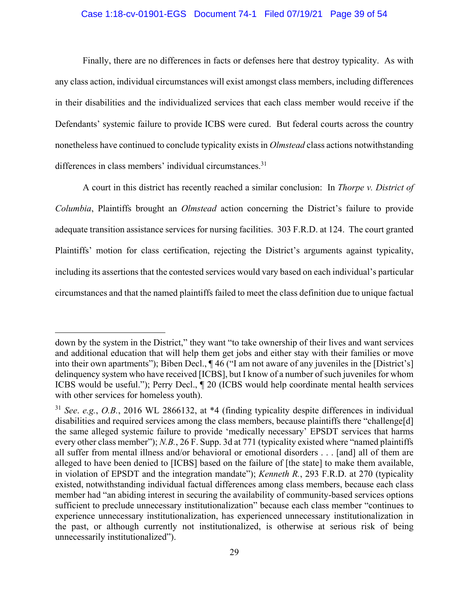#### Case 1:18-cv-01901-EGS Document 74-1 Filed 07/19/21 Page 39 of 54

Finally, there are no differences in facts or defenses here that destroy typicality. As with any class action, individual circumstances will exist amongst class members, including differences in their disabilities and the individualized services that each class member would receive if the Defendants' systemic failure to provide ICBS were cured. But federal courts across the country nonetheless have continued to conclude typicality exists in *Olmstead* class actions notwithstanding differences in class members' individual circumstances.<sup>31</sup>

A court in this district has recently reached a similar conclusion: In *Thorpe v. District of Columbia*, Plaintiffs brought an *Olmstead* action concerning the District's failure to provide adequate transition assistance services for nursing facilities. 303 F.R.D. at 124. The court granted Plaintiffs' motion for class certification, rejecting the District's arguments against typicality, including its assertions that the contested services would vary based on each individual's particular circumstances and that the named plaintiffs failed to meet the class definition due to unique factual

down by the system in the District," they want "to take ownership of their lives and want services and additional education that will help them get jobs and either stay with their families or move into their own apartments"); Biben Decl., ¶ 46 ("I am not aware of any juveniles in the [District's] delinquency system who have received [ICBS], but I know of a number of such juveniles for whom ICBS would be useful."); Perry Decl., ¶ 20 (ICBS would help coordinate mental health services with other services for homeless youth).

<sup>31</sup> *See*. *e.g.*, *O.B.*, 2016 WL 2866132, at \*4 (finding typicality despite differences in individual disabilities and required services among the class members, because plaintiffs there "challenge[d] the same alleged systemic failure to provide 'medically necessary' EPSDT services that harms every other class member"); *N.B.*, 26 F. Supp. 3d at 771 (typicality existed where "named plaintiffs") all suffer from mental illness and/or behavioral or emotional disorders . . . [and] all of them are alleged to have been denied to [ICBS] based on the failure of [the state] to make them available, in violation of EPSDT and the integration mandate"); *Kenneth R.*, 293 F.R.D. at 270 (typicality existed, notwithstanding individual factual differences among class members, because each class member had "an abiding interest in securing the availability of community-based services options sufficient to preclude unnecessary institutionalization" because each class member "continues to experience unnecessary institutionalization, has experienced unnecessary institutionalization in the past, or although currently not institutionalized, is otherwise at serious risk of being unnecessarily institutionalized").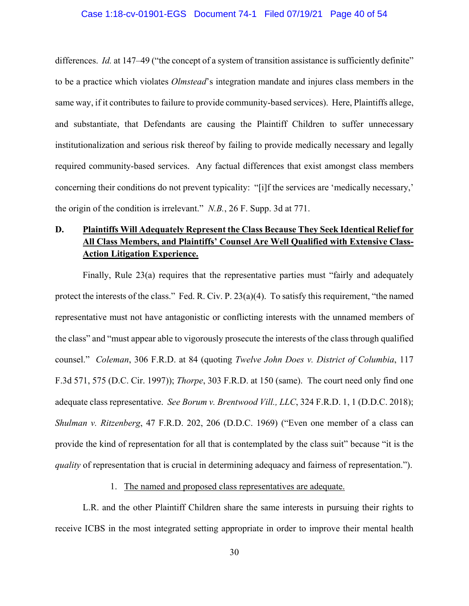#### Case 1:18-cv-01901-EGS Document 74-1 Filed 07/19/21 Page 40 of 54

differences. *Id.* at 147–49 ("the concept of a system of transition assistance is sufficiently definite" to be a practice which violates *Olmstead*'s integration mandate and injures class members in the same way, if it contributes to failure to provide community-based services). Here, Plaintiffs allege, and substantiate, that Defendants are causing the Plaintiff Children to suffer unnecessary institutionalization and serious risk thereof by failing to provide medically necessary and legally required community-based services. Any factual differences that exist amongst class members concerning their conditions do not prevent typicality: "[i]f the services are 'medically necessary,' the origin of the condition is irrelevant." *N.B.*, 26 F. Supp. 3d at 771.

## **D. Plaintiffs Will Adequately Represent the Class Because They Seek Identical Relief for All Class Members, and Plaintiffs' Counsel Are Well Qualified with Extensive Class-Action Litigation Experience.**

 Finally, Rule 23(a) requires that the representative parties must "fairly and adequately protect the interests of the class." Fed. R. Civ. P. 23(a)(4). To satisfy this requirement, "the named representative must not have antagonistic or conflicting interests with the unnamed members of the class" and "must appear able to vigorously prosecute the interests of the class through qualified counsel." *Coleman*, 306 F.R.D. at 84 (quoting *Twelve John Does v. District of Columbia*, 117 F.3d 571, 575 (D.C. Cir. 1997)); *Thorpe*, 303 F.R.D. at 150 (same). The court need only find one adequate class representative. *See Borum v. Brentwood Vill., LLC*, 324 F.R.D. 1, 1 (D.D.C. 2018); *Shulman v. Ritzenberg*, 47 F.R.D. 202, 206 (D.D.C. 1969) ("Even one member of a class can provide the kind of representation for all that is contemplated by the class suit" because "it is the *quality* of representation that is crucial in determining adequacy and fairness of representation.").

### 1. The named and proposed class representatives are adequate.

L.R. and the other Plaintiff Children share the same interests in pursuing their rights to receive ICBS in the most integrated setting appropriate in order to improve their mental health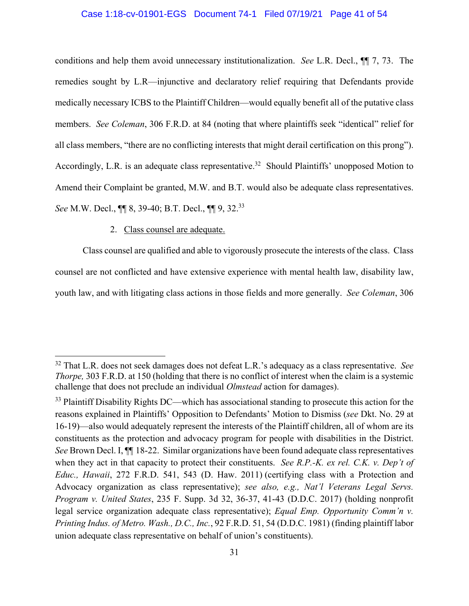#### Case 1:18-cv-01901-EGS Document 74-1 Filed 07/19/21 Page 41 of 54

conditions and help them avoid unnecessary institutionalization. *See* L.R. Decl., ¶¶ 7, 73. The remedies sought by L.R—injunctive and declaratory relief requiring that Defendants provide medically necessary ICBS to the Plaintiff Children—would equally benefit all of the putative class members. *See Coleman*, 306 F.R.D. at 84 (noting that where plaintiffs seek "identical" relief for all class members, "there are no conflicting interests that might derail certification on this prong"). Accordingly, L.R. is an adequate class representative.<sup>32</sup> Should Plaintiffs' unopposed Motion to Amend their Complaint be granted, M.W. and B.T. would also be adequate class representatives. *See* M.W. Decl., ¶¶ 8, 39-40; B.T. Decl., ¶¶ 9, 32.33

## 2. Class counsel are adequate.

1

Class counsel are qualified and able to vigorously prosecute the interests of the class. Class counsel are not conflicted and have extensive experience with mental health law, disability law, youth law, and with litigating class actions in those fields and more generally. *See Coleman*, 306

<sup>32</sup> That L.R. does not seek damages does not defeat L.R.'s adequacy as a class representative. *See Thorpe*, 303 F.R.D. at 150 (holding that there is no conflict of interest when the claim is a systemic challenge that does not preclude an individual *Olmstead* action for damages).

<sup>&</sup>lt;sup>33</sup> Plaintiff Disability Rights DC—which has associational standing to prosecute this action for the reasons explained in Plaintiffs' Opposition to Defendants' Motion to Dismiss (*see* Dkt. No. 29 at 16-19)—also would adequately represent the interests of the Plaintiff children, all of whom are its constituents as the protection and advocacy program for people with disabilities in the District. *See* Brown Decl. I, ¶¶ 18-22. Similar organizations have been found adequate class representatives when they act in that capacity to protect their constituents. *See R.P.-K. ex rel. C.K. v. Dep't of Educ., Hawaii*, 272 F.R.D. 541, 543 (D. Haw. 2011) (certifying class with a Protection and Advocacy organization as class representative); *see also, e.g., Nat'l Veterans Legal Servs. Program v. United States*, 235 F. Supp. 3d 32, 36-37, 41-43 (D.D.C. 2017) (holding nonprofit legal service organization adequate class representative); *Equal Emp. Opportunity Comm'n v. Printing Indus. of Metro. Wash., D.C., Inc.*, 92 F.R.D. 51, 54 (D.D.C. 1981) (finding plaintiff labor union adequate class representative on behalf of union's constituents).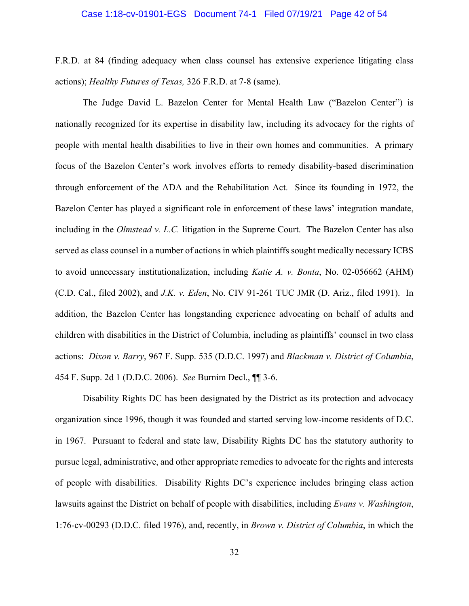#### Case 1:18-cv-01901-EGS Document 74-1 Filed 07/19/21 Page 42 of 54

F.R.D. at 84 (finding adequacy when class counsel has extensive experience litigating class actions); *Healthy Futures of Texas,* 326 F.R.D. at 7-8 (same).

 The Judge David L. Bazelon Center for Mental Health Law ("Bazelon Center") is nationally recognized for its expertise in disability law, including its advocacy for the rights of people with mental health disabilities to live in their own homes and communities. A primary focus of the Bazelon Center's work involves efforts to remedy disability-based discrimination through enforcement of the ADA and the Rehabilitation Act. Since its founding in 1972, the Bazelon Center has played a significant role in enforcement of these laws' integration mandate, including in the *Olmstead v. L.C.* litigation in the Supreme Court. The Bazelon Center has also served as class counsel in a number of actions in which plaintiffs sought medically necessary ICBS to avoid unnecessary institutionalization, including *Katie A. v. Bonta*, No. 02-056662 (AHM) (C.D. Cal., filed 2002), and *J.K. v. Eden*, No. CIV 91-261 TUC JMR (D. Ariz., filed 1991). In addition, the Bazelon Center has longstanding experience advocating on behalf of adults and children with disabilities in the District of Columbia, including as plaintiffs' counsel in two class actions: *Dixon v. Barry*, 967 F. Supp. 535 (D.D.C. 1997) and *Blackman v. District of Columbia*, 454 F. Supp. 2d 1 (D.D.C. 2006). *See* Burnim Decl., ¶¶ 3-6.

Disability Rights DC has been designated by the District as its protection and advocacy organization since 1996, though it was founded and started serving low-income residents of D.C. in 1967. Pursuant to federal and state law, Disability Rights DC has the statutory authority to pursue legal, administrative, and other appropriate remedies to advocate for the rights and interests of people with disabilities. Disability Rights DC's experience includes bringing class action lawsuits against the District on behalf of people with disabilities, including *Evans v. Washington*, 1:76-cv-00293 (D.D.C. filed 1976), and, recently, in *Brown v. District of Columbia*, in which the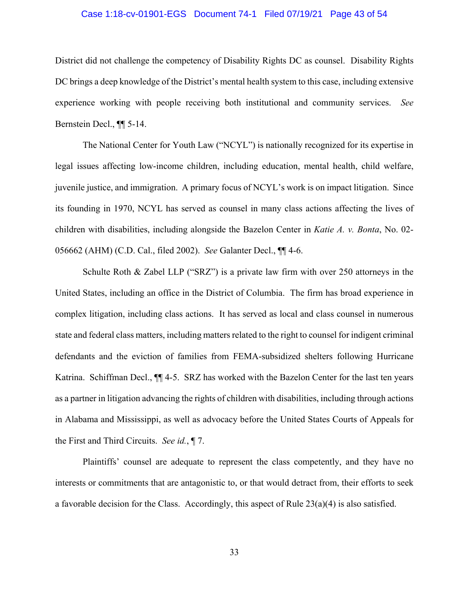#### Case 1:18-cv-01901-EGS Document 74-1 Filed 07/19/21 Page 43 of 54

District did not challenge the competency of Disability Rights DC as counsel. Disability Rights DC brings a deep knowledge of the District's mental health system to this case, including extensive experience working with people receiving both institutional and community services. *See*  Bernstein Decl., ¶¶ 5-14.

 The National Center for Youth Law ("NCYL") is nationally recognized for its expertise in legal issues affecting low-income children, including education, mental health, child welfare, juvenile justice, and immigration. A primary focus of NCYL's work is on impact litigation. Since its founding in 1970, NCYL has served as counsel in many class actions affecting the lives of children with disabilities, including alongside the Bazelon Center in *Katie A. v. Bonta*, No. 02- 056662 (AHM) (C.D. Cal., filed 2002). *See* Galanter Decl., ¶¶ 4-6.

 Schulte Roth & Zabel LLP ("SRZ") is a private law firm with over 250 attorneys in the United States, including an office in the District of Columbia. The firm has broad experience in complex litigation, including class actions. It has served as local and class counsel in numerous state and federal class matters, including matters related to the right to counsel for indigent criminal defendants and the eviction of families from FEMA-subsidized shelters following Hurricane Katrina. Schiffman Decl., ¶¶ 4-5. SRZ has worked with the Bazelon Center for the last ten years as a partner in litigation advancing the rights of children with disabilities, including through actions in Alabama and Mississippi, as well as advocacy before the United States Courts of Appeals for the First and Third Circuits. *See id.*, ¶ 7.

 Plaintiffs' counsel are adequate to represent the class competently, and they have no interests or commitments that are antagonistic to, or that would detract from, their efforts to seek a favorable decision for the Class. Accordingly, this aspect of Rule 23(a)(4) is also satisfied.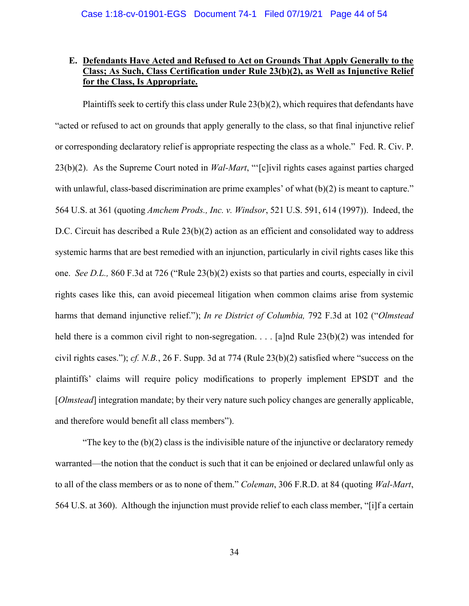## **E. Defendants Have Acted and Refused to Act on Grounds That Apply Generally to the Class; As Such, Class Certification under Rule 23(b)(2), as Well as Injunctive Relief for the Class, Is Appropriate.**

 Plaintiffs seek to certify this class under Rule 23(b)(2), which requires that defendants have "acted or refused to act on grounds that apply generally to the class, so that final injunctive relief or corresponding declaratory relief is appropriate respecting the class as a whole." Fed. R. Civ. P. 23(b)(2). As the Supreme Court noted in *Wal-Mart*, "'[c]ivil rights cases against parties charged with unlawful, class-based discrimination are prime examples' of what (b)(2) is meant to capture." 564 U.S. at 361 (quoting *Amchem Prods., Inc. v. Windsor*, 521 U.S. 591, 614 (1997)). Indeed, the D.C. Circuit has described a Rule 23(b)(2) action as an efficient and consolidated way to address systemic harms that are best remedied with an injunction, particularly in civil rights cases like this one. *See D.L.,* 860 F.3d at 726 ("Rule 23(b)(2) exists so that parties and courts, especially in civil rights cases like this, can avoid piecemeal litigation when common claims arise from systemic harms that demand injunctive relief."); *In re District of Columbia,* 792 F.3d at 102 ("*Olmstead* held there is a common civil right to non-segregation. . . . [a]nd Rule  $23(b)(2)$  was intended for civil rights cases."); *cf. N.B.*, 26 F. Supp. 3d at 774 (Rule 23(b)(2) satisfied where "success on the plaintiffs' claims will require policy modifications to properly implement EPSDT and the [*Olmstead*] integration mandate; by their very nature such policy changes are generally applicable, and therefore would benefit all class members").

"The key to the  $(b)(2)$  class is the indivisible nature of the injunctive or declaratory remedy warranted—the notion that the conduct is such that it can be enjoined or declared unlawful only as to all of the class members or as to none of them." *Coleman*, 306 F.R.D. at 84 (quoting *Wal-Mart*, 564 U.S. at 360). Although the injunction must provide relief to each class member, "[i]f a certain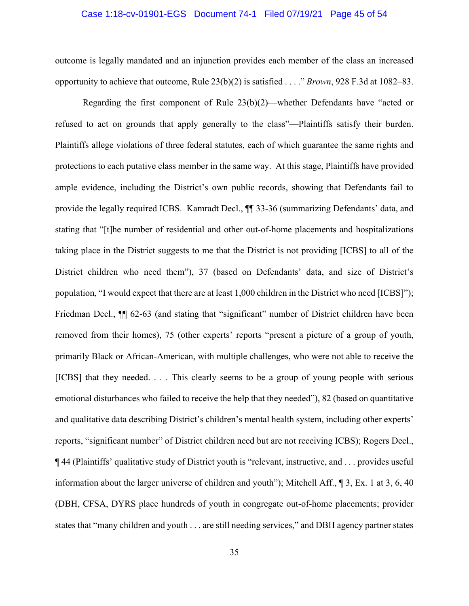#### Case 1:18-cv-01901-EGS Document 74-1 Filed 07/19/21 Page 45 of 54

outcome is legally mandated and an injunction provides each member of the class an increased opportunity to achieve that outcome, Rule 23(b)(2) is satisfied . . . ." *Brown*, 928 F.3d at 1082–83.

Regarding the first component of Rule 23(b)(2)—whether Defendants have "acted or refused to act on grounds that apply generally to the class"—Plaintiffs satisfy their burden. Plaintiffs allege violations of three federal statutes, each of which guarantee the same rights and protections to each putative class member in the same way. At this stage, Plaintiffs have provided ample evidence, including the District's own public records, showing that Defendants fail to provide the legally required ICBS. Kamradt Decl., ¶¶ 33-36 (summarizing Defendants' data, and stating that "[t]he number of residential and other out-of-home placements and hospitalizations taking place in the District suggests to me that the District is not providing [ICBS] to all of the District children who need them"), 37 (based on Defendants' data, and size of District's population, "I would expect that there are at least 1,000 children in the District who need [ICBS]"); Friedman Decl.,  $\P$  62-63 (and stating that "significant" number of District children have been removed from their homes), 75 (other experts' reports "present a picture of a group of youth, primarily Black or African-American, with multiple challenges, who were not able to receive the [ICBS] that they needed. . . . This clearly seems to be a group of young people with serious emotional disturbances who failed to receive the help that they needed"), 82 (based on quantitative and qualitative data describing District's children's mental health system, including other experts' reports, "significant number" of District children need but are not receiving ICBS); Rogers Decl., ¶ 44 (Plaintiffs' qualitative study of District youth is "relevant, instructive, and . . . provides useful information about the larger universe of children and youth"); Mitchell Aff., ¶ 3, Ex. 1 at 3, 6, 40 (DBH, CFSA, DYRS place hundreds of youth in congregate out-of-home placements; provider states that "many children and youth . . . are still needing services," and DBH agency partner states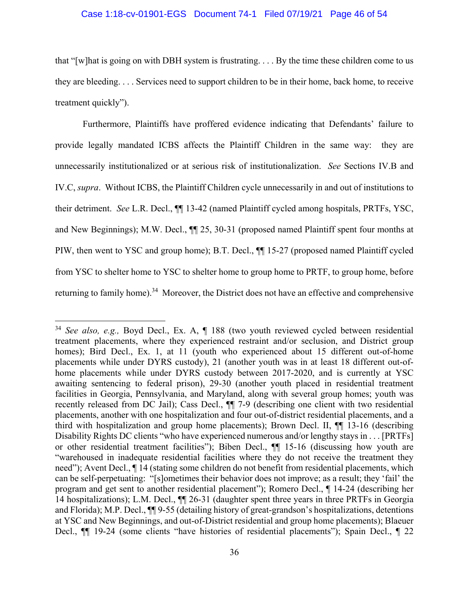#### Case 1:18-cv-01901-EGS Document 74-1 Filed 07/19/21 Page 46 of 54

that "[w]hat is going on with DBH system is frustrating. . . . By the time these children come to us they are bleeding. . . . Services need to support children to be in their home, back home, to receive treatment quickly").

Furthermore, Plaintiffs have proffered evidence indicating that Defendants' failure to provide legally mandated ICBS affects the Plaintiff Children in the same way: they are unnecessarily institutionalized or at serious risk of institutionalization. *See* Sections IV.B and IV.C, *supra*. Without ICBS, the Plaintiff Children cycle unnecessarily in and out of institutions to their detriment. *See* L.R. Decl., ¶¶ 13-42 (named Plaintiff cycled among hospitals, PRTFs, YSC, and New Beginnings); M.W. Decl., ¶¶ 25, 30-31 (proposed named Plaintiff spent four months at PIW, then went to YSC and group home); B.T. Decl., ¶¶ 15-27 (proposed named Plaintiff cycled from YSC to shelter home to YSC to shelter home to group home to PRTF, to group home, before returning to family home).<sup>34</sup> Moreover, the District does not have an effective and comprehensive

<sup>34</sup> *See also, e.g.,* Boyd Decl., Ex. A, ¶ 188 (two youth reviewed cycled between residential treatment placements, where they experienced restraint and/or seclusion, and District group homes); Bird Decl., Ex. 1, at 11 (youth who experienced about 15 different out-of-home placements while under DYRS custody), 21 (another youth was in at least 18 different out-ofhome placements while under DYRS custody between 2017-2020, and is currently at YSC awaiting sentencing to federal prison), 29-30 (another youth placed in residential treatment facilities in Georgia, Pennsylvania, and Maryland, along with several group homes; youth was recently released from DC Jail); Cass Decl., ¶¶ 7-9 (describing one client with two residential placements, another with one hospitalization and four out-of-district residential placements, and a third with hospitalization and group home placements); Brown Decl. II, ¶¶ 13-16 (describing Disability Rights DC clients "who have experienced numerous and/or lengthy stays in . . . [PRTFs] or other residential treatment facilities"); Biben Decl., ¶¶ 15-16 (discussing how youth are "warehoused in inadequate residential facilities where they do not receive the treatment they need"); Avent Decl., ¶ 14 (stating some children do not benefit from residential placements, which can be self-perpetuating: "[s]ometimes their behavior does not improve; as a result; they 'fail' the program and get sent to another residential placement"); Romero Decl., ¶ 14-24 (describing her 14 hospitalizations); L.M. Decl., ¶¶ 26-31 (daughter spent three years in three PRTFs in Georgia and Florida); M.P. Decl., ¶¶ 9-55 (detailing history of great-grandson's hospitalizations, detentions at YSC and New Beginnings, and out-of-District residential and group home placements); Blaeuer Decl., ¶¶ 19-24 (some clients "have histories of residential placements"); Spain Decl., ¶ 22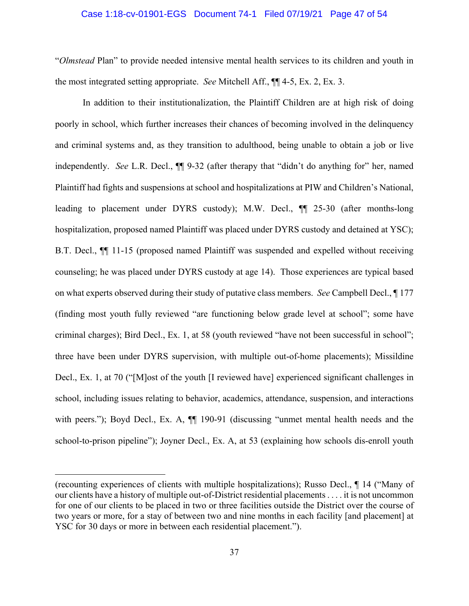#### Case 1:18-cv-01901-EGS Document 74-1 Filed 07/19/21 Page 47 of 54

"*Olmstead* Plan" to provide needed intensive mental health services to its children and youth in the most integrated setting appropriate. *See* Mitchell Aff., ¶¶ 4-5, Ex. 2, Ex. 3.

In addition to their institutionalization, the Plaintiff Children are at high risk of doing poorly in school, which further increases their chances of becoming involved in the delinquency and criminal systems and, as they transition to adulthood, being unable to obtain a job or live independently. *See* L.R. Decl., ¶¶ 9-32 (after therapy that "didn't do anything for" her, named Plaintiff had fights and suspensions at school and hospitalizations at PIW and Children's National, leading to placement under DYRS custody); M.W. Decl., ¶¶ 25-30 (after months-long hospitalization, proposed named Plaintiff was placed under DYRS custody and detained at YSC); B.T. Decl., ¶¶ 11-15 (proposed named Plaintiff was suspended and expelled without receiving counseling; he was placed under DYRS custody at age 14). Those experiences are typical based on what experts observed during their study of putative class members. *See* Campbell Decl., ¶ 177 (finding most youth fully reviewed "are functioning below grade level at school"; some have criminal charges); Bird Decl., Ex. 1, at 58 (youth reviewed "have not been successful in school"; three have been under DYRS supervision, with multiple out-of-home placements); Missildine Decl., Ex. 1, at 70 ("[M]ost of the youth [I reviewed have] experienced significant challenges in school, including issues relating to behavior, academics, attendance, suspension, and interactions with peers."); Boyd Decl., Ex. A,  $\P$  190-91 (discussing "unmet mental health needs and the school-to-prison pipeline"); Joyner Decl., Ex. A, at 53 (explaining how schools dis-enroll youth

<sup>(</sup>recounting experiences of clients with multiple hospitalizations); Russo Decl., ¶ 14 ("Many of our clients have a history of multiple out-of-District residential placements . . . . it is not uncommon for one of our clients to be placed in two or three facilities outside the District over the course of two years or more, for a stay of between two and nine months in each facility [and placement] at YSC for 30 days or more in between each residential placement.").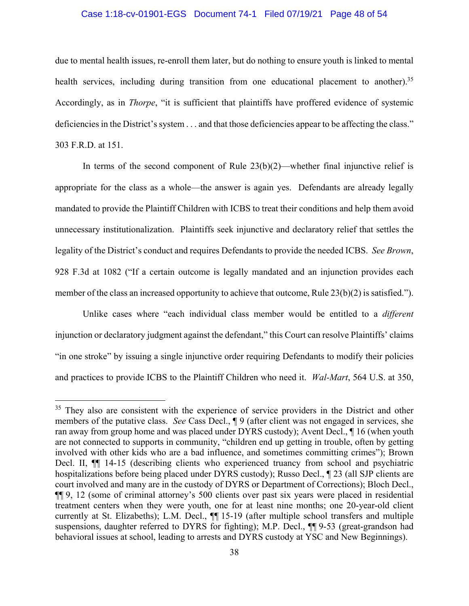#### Case 1:18-cv-01901-EGS Document 74-1 Filed 07/19/21 Page 48 of 54

due to mental health issues, re-enroll them later, but do nothing to ensure youth is linked to mental health services, including during transition from one educational placement to another).<sup>35</sup> Accordingly, as in *Thorpe*, "it is sufficient that plaintiffs have proffered evidence of systemic deficiencies in the District's system . . . and that those deficiencies appear to be affecting the class." 303 F.R.D. at 151.

In terms of the second component of Rule  $23(b)(2)$ —whether final injunctive relief is appropriate for the class as a whole—the answer is again yes. Defendants are already legally mandated to provide the Plaintiff Children with ICBS to treat their conditions and help them avoid unnecessary institutionalization. Plaintiffs seek injunctive and declaratory relief that settles the legality of the District's conduct and requires Defendants to provide the needed ICBS. *See Brown*, 928 F.3d at 1082 ("If a certain outcome is legally mandated and an injunction provides each member of the class an increased opportunity to achieve that outcome, Rule  $23(b)(2)$  is satisfied.").

Unlike cases where "each individual class member would be entitled to a *different*  injunction or declaratory judgment against the defendant," this Court can resolve Plaintiffs' claims "in one stroke" by issuing a single injunctive order requiring Defendants to modify their policies and practices to provide ICBS to the Plaintiff Children who need it. *Wal-Mart*, 564 U.S. at 350,

<sup>&</sup>lt;sup>35</sup> They also are consistent with the experience of service providers in the District and other members of the putative class. *See* Cass Decl., ¶ 9 (after client was not engaged in services, she ran away from group home and was placed under DYRS custody); Avent Decl., ¶ 16 (when youth are not connected to supports in community, "children end up getting in trouble, often by getting involved with other kids who are a bad influence, and sometimes committing crimes"); Brown Decl. II,  $\P$  14-15 (describing clients who experienced truancy from school and psychiatric hospitalizations before being placed under DYRS custody); Russo Decl., ¶ 23 (all SJP clients are court involved and many are in the custody of DYRS or Department of Corrections); Bloch Decl., ¶¶ 9, 12 (some of criminal attorney's 500 clients over past six years were placed in residential treatment centers when they were youth, one for at least nine months; one 20-year-old client currently at St. Elizabeths); L.M. Decl., ¶¶ 15-19 (after multiple school transfers and multiple suspensions, daughter referred to DYRS for fighting); M.P. Decl.,  $\P$ [9-53 (great-grandson had behavioral issues at school, leading to arrests and DYRS custody at YSC and New Beginnings).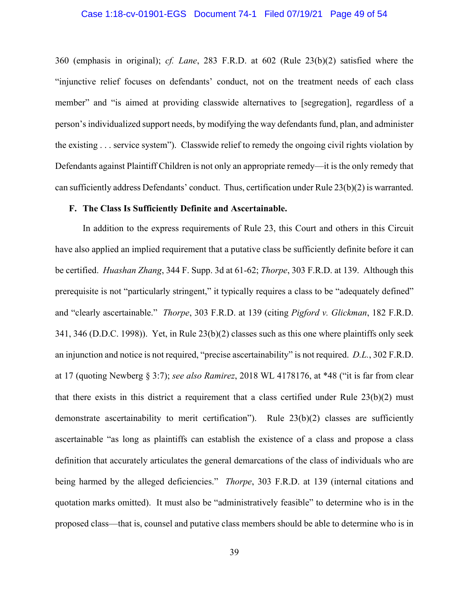#### Case 1:18-cv-01901-EGS Document 74-1 Filed 07/19/21 Page 49 of 54

360 (emphasis in original); *cf. Lane*, 283 F.R.D. at 602 (Rule 23(b)(2) satisfied where the "injunctive relief focuses on defendants' conduct, not on the treatment needs of each class member" and "is aimed at providing classwide alternatives to [segregation], regardless of a person's individualized support needs, by modifying the way defendants fund, plan, and administer the existing . . . service system"). Classwide relief to remedy the ongoing civil rights violation by Defendants against Plaintiff Children is not only an appropriate remedy—it is the only remedy that can sufficiently address Defendants' conduct. Thus, certification under Rule 23(b)(2) is warranted.

#### **F. The Class Is Sufficiently Definite and Ascertainable.**

In addition to the express requirements of Rule 23, this Court and others in this Circuit have also applied an implied requirement that a putative class be sufficiently definite before it can be certified. *Huashan Zhang*, 344 F. Supp. 3d at 61-62; *Thorpe*, 303 F.R.D. at 139. Although this prerequisite is not "particularly stringent," it typically requires a class to be "adequately defined" and "clearly ascertainable." *Thorpe*, 303 F.R.D. at 139 (citing *Pigford v. Glickman*, 182 F.R.D. 341, 346 (D.D.C. 1998)). Yet, in Rule 23(b)(2) classes such as this one where plaintiffs only seek an injunction and notice is not required, "precise ascertainability" is not required. *D.L.*, 302 F.R.D. at 17 (quoting Newberg § 3:7); *see also Ramirez*, 2018 WL 4178176, at \*48 ("it is far from clear that there exists in this district a requirement that a class certified under Rule 23(b)(2) must demonstrate ascertainability to merit certification"). Rule 23(b)(2) classes are sufficiently ascertainable "as long as plaintiffs can establish the existence of a class and propose a class definition that accurately articulates the general demarcations of the class of individuals who are being harmed by the alleged deficiencies." *Thorpe*, 303 F.R.D. at 139 (internal citations and quotation marks omitted). It must also be "administratively feasible" to determine who is in the proposed class—that is, counsel and putative class members should be able to determine who is in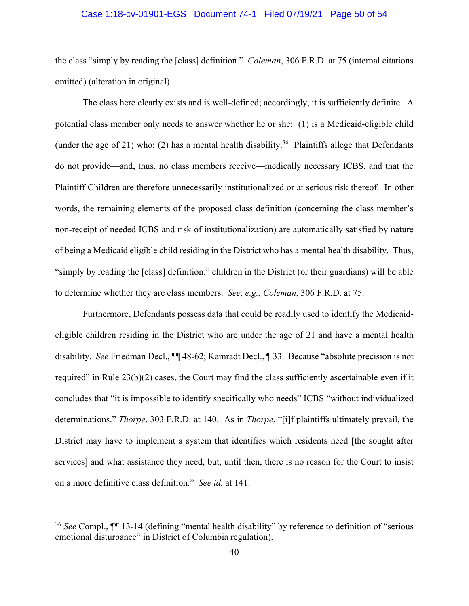#### Case 1:18-cv-01901-EGS Document 74-1 Filed 07/19/21 Page 50 of 54

the class "simply by reading the [class] definition." *Coleman*, 306 F.R.D. at 75 (internal citations omitted) (alteration in original).

The class here clearly exists and is well-defined; accordingly, it is sufficiently definite. A potential class member only needs to answer whether he or she: (1) is a Medicaid-eligible child (under the age of 21) who; (2) has a mental health disability.<sup>36</sup> Plaintiffs allege that Defendants do not provide—and, thus, no class members receive—medically necessary ICBS, and that the Plaintiff Children are therefore unnecessarily institutionalized or at serious risk thereof. In other words, the remaining elements of the proposed class definition (concerning the class member's non-receipt of needed ICBS and risk of institutionalization) are automatically satisfied by nature of being a Medicaid eligible child residing in the District who has a mental health disability. Thus, "simply by reading the [class] definition," children in the District (or their guardians) will be able to determine whether they are class members. *See, e.g., Coleman*, 306 F.R.D. at 75.

Furthermore, Defendants possess data that could be readily used to identify the Medicaideligible children residing in the District who are under the age of 21 and have a mental health disability. *See* Friedman Decl., ¶¶ 48-62; Kamradt Decl., ¶ 33. Because "absolute precision is not required" in Rule 23(b)(2) cases, the Court may find the class sufficiently ascertainable even if it concludes that "it is impossible to identify specifically who needs" ICBS "without individualized determinations." *Thorpe*, 303 F.R.D. at 140. As in *Thorpe*, "[i]f plaintiffs ultimately prevail, the District may have to implement a system that identifies which residents need [the sought after services] and what assistance they need, but, until then, there is no reason for the Court to insist on a more definitive class definition." *See id.* at 141.

<u>.</u>

<sup>36</sup> *See* Compl., ¶¶ 13-14 (defining "mental health disability" by reference to definition of "serious emotional disturbance" in District of Columbia regulation).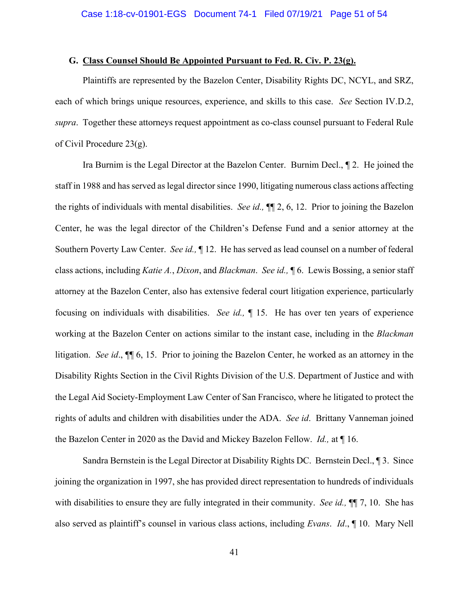#### **G. Class Counsel Should Be Appointed Pursuant to Fed. R. Civ. P. 23(g).**

 Plaintiffs are represented by the Bazelon Center, Disability Rights DC, NCYL, and SRZ, each of which brings unique resources, experience, and skills to this case. *See* Section IV.D.2, *supra*. Together these attorneys request appointment as co-class counsel pursuant to Federal Rule of Civil Procedure 23(g).

 Ira Burnim is the Legal Director at the Bazelon Center. Burnim Decl., ¶ 2. He joined the staff in 1988 and has served as legal director since 1990, litigating numerous class actions affecting the rights of individuals with mental disabilities. *See id.,* ¶¶ 2, 6, 12. Prior to joining the Bazelon Center, he was the legal director of the Children's Defense Fund and a senior attorney at the Southern Poverty Law Center. *See id.,* ¶ 12. He has served as lead counsel on a number of federal class actions, including *Katie A.*, *Dixon*, and *Blackman*. *See id.,* ¶ 6. Lewis Bossing, a senior staff attorney at the Bazelon Center, also has extensive federal court litigation experience, particularly focusing on individuals with disabilities. *See id.,* ¶ 15. He has over ten years of experience working at the Bazelon Center on actions similar to the instant case, including in the *Blackman* litigation. *See id*., ¶¶ 6, 15. Prior to joining the Bazelon Center, he worked as an attorney in the Disability Rights Section in the Civil Rights Division of the U.S. Department of Justice and with the Legal Aid Society-Employment Law Center of San Francisco, where he litigated to protect the rights of adults and children with disabilities under the ADA. *See id*. Brittany Vanneman joined the Bazelon Center in 2020 as the David and Mickey Bazelon Fellow. *Id.,* at ¶ 16.

Sandra Bernstein is the Legal Director at Disability Rights DC. Bernstein Decl., ¶ 3. Since joining the organization in 1997, she has provided direct representation to hundreds of individuals with disabilities to ensure they are fully integrated in their community. *See id.,* ¶¶ 7, 10. She has also served as plaintiff's counsel in various class actions, including *Evans*. *Id*., ¶ 10. Mary Nell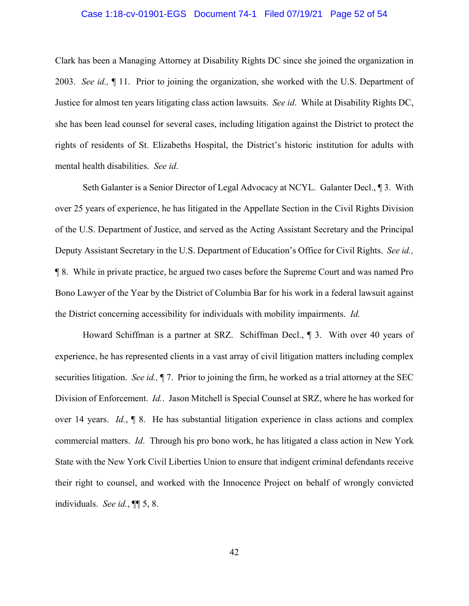#### Case 1:18-cv-01901-EGS Document 74-1 Filed 07/19/21 Page 52 of 54

Clark has been a Managing Attorney at Disability Rights DC since she joined the organization in 2003. *See id.,* ¶ 11. Prior to joining the organization, she worked with the U.S. Department of Justice for almost ten years litigating class action lawsuits. *See id*. While at Disability Rights DC, she has been lead counsel for several cases, including litigation against the District to protect the rights of residents of St. Elizabeths Hospital, the District's historic institution for adults with mental health disabilities. *See id*.

 Seth Galanter is a Senior Director of Legal Advocacy at NCYL. Galanter Decl., ¶ 3. With over 25 years of experience, he has litigated in the Appellate Section in the Civil Rights Division of the U.S. Department of Justice, and served as the Acting Assistant Secretary and the Principal Deputy Assistant Secretary in the U.S. Department of Education's Office for Civil Rights. *See id.,* ¶ 8. While in private practice, he argued two cases before the Supreme Court and was named Pro Bono Lawyer of the Year by the District of Columbia Bar for his work in a federal lawsuit against the District concerning accessibility for individuals with mobility impairments. *Id.* 

Howard Schiffman is a partner at SRZ. Schiffman Decl., ¶ 3. With over 40 years of experience, he has represented clients in a vast array of civil litigation matters including complex securities litigation. *See id.,* ¶ 7. Prior to joining the firm, he worked as a trial attorney at the SEC Division of Enforcement. *Id.*. Jason Mitchell is Special Counsel at SRZ, where he has worked for over 14 years. *Id.*, ¶ 8. He has substantial litigation experience in class actions and complex commercial matters. *Id*. Through his pro bono work, he has litigated a class action in New York State with the New York Civil Liberties Union to ensure that indigent criminal defendants receive their right to counsel, and worked with the Innocence Project on behalf of wrongly convicted individuals. *See id.*, ¶¶ 5, 8.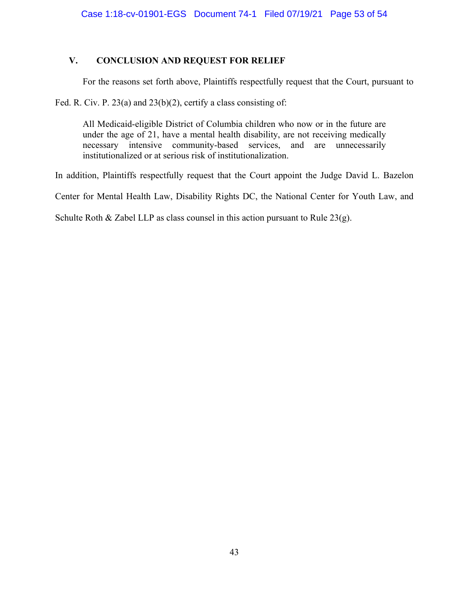## **V. CONCLUSION AND REQUEST FOR RELIEF**

For the reasons set forth above, Plaintiffs respectfully request that the Court, pursuant to

Fed. R. Civ. P. 23(a) and 23(b)(2), certify a class consisting of:

All Medicaid-eligible District of Columbia children who now or in the future are under the age of 21, have a mental health disability, are not receiving medically necessary intensive community-based services, and are unnecessarily institutionalized or at serious risk of institutionalization.

In addition, Plaintiffs respectfully request that the Court appoint the Judge David L. Bazelon

Center for Mental Health Law, Disability Rights DC, the National Center for Youth Law, and

Schulte Roth & Zabel LLP as class counsel in this action pursuant to Rule  $23(g)$ .